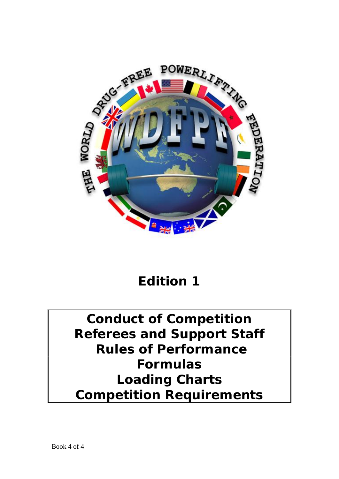

# **Edition 1**

# **Conduct of Competition Referees and Support Staff Rules of Performance Formulas Loading Charts Competition Requirements**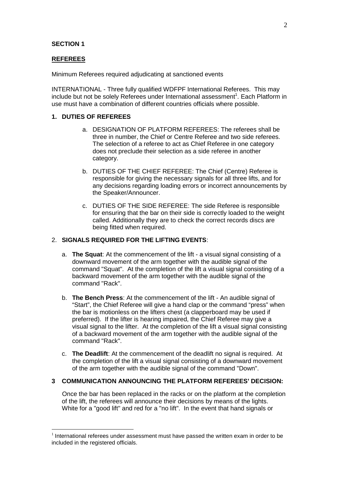## **SECTION 1**

#### **REFEREES**

Minimum Referees required adjudicating at sanctioned events

INTERNATIONAL - Three fully qualified WDFPF International Referees. This may include but not be solely Referees under International assessment<sup>1</sup>. Each Platform in use must have a combination of different countries officials where possible.

## **1. DUTIES OF REFEREES**

- a. DESIGNATION OF PLATFORM REFEREES: The referees shall be three in number, the Chief or Centre Referee and two side referees. The selection of a referee to act as Chief Referee in one category does not preclude their selection as a side referee in another category.
- b. DUTIES OF THE CHIEF REFEREE: The Chief (Centre) Referee is responsible for giving the necessary signals for all three lifts, and for any decisions regarding loading errors or incorrect announcements by the Speaker/Announcer.
- c. DUTIES OF THE SIDE REFEREE: The side Referee is responsible for ensuring that the bar on their side is correctly loaded to the weight called. Additionally they are to check the correct records discs are being fitted when required.

## 2. **SIGNALS REQUIRED FOR THE LIFTING EVENTS**:

- a. **The Squat**: At the commencement of the lift a visual signal consisting of a downward movement of the arm together with the audible signal of the command "Squat". At the completion of the lift a visual signal consisting of a backward movement of the arm together with the audible signal of the command "Rack".
- b. **The Bench Press**: At the commencement of the lift An audible signal of "Start", the Chief Referee will give a hand clap or the command "press" when the bar is motionless on the lifters chest (a clapperboard may be used if preferred). If the lifter is hearing impaired, the Chief Referee may give a visual signal to the lifter. At the completion of the lift a visual signal consisting of a backward movement of the arm together with the audible signal of the command "Rack".
- c. **The Deadlift**: At the commencement of the deadlift no signal is required. At the completion of the lift a visual signal consisting of a downward movement of the arm together with the audible signal of the command "Down".

# **3 COMMUNICATION ANNOUNCING THE PLATFORM REFEREES' DECISION:**

Once the bar has been replaced in the racks or on the platform at the completion of the lift, the referees will announce their decisions by means of the lights. White for a "good lift" and red for a "no lift". In the event that hand signals or

 $1$  International referees under assessment must have passed the written exam in order to be included in the registered officials.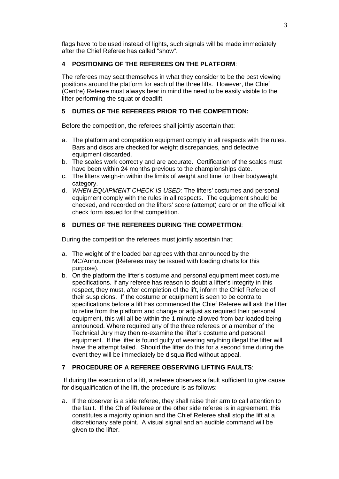flags have to be used instead of lights, such signals will be made immediately after the Chief Referee has called "show".

# **4 POSITIONING OF THE REFEREES ON THE PLATFORM**:

The referees may seat themselves in what they consider to be the best viewing positions around the platform for each of the three lifts. However, the Chief (Centre) Referee must always bear in mind the need to be easily visible to the lifter performing the squat or deadlift.

# **5 DUTIES OF THE REFEREES PRIOR TO THE COMPETITION:**

Before the competition, the referees shall jointly ascertain that:

- a. The platform and competition equipment comply in all respects with the rules. Bars and discs are checked for weight discrepancies, and defective equipment discarded.
- b. The scales work correctly and are accurate. Certification of the scales must have been within 24 months previous to the championships date.
- c. The lifters weigh-in within the limits of weight and time for their bodyweight category.
- d. *WHEN EQUIPMENT CHECK IS USED:* The lifters' costumes and personal equipment comply with the rules in all respects. The equipment should be checked, and recorded on the lifters' score (attempt) card or on the official kit check form issued for that competition.

# **6 DUTIES OF THE REFEREES DURING THE COMPETITION**:

During the competition the referees must jointly ascertain that:

- a. The weight of the loaded bar agrees with that announced by the MC/Announcer (Referees may be issued with loading charts for this purpose).
- b. On the platform the lifter's costume and personal equipment meet costume specifications. If any referee has reason to doubt a lifter's integrity in this respect, they must, after completion of the lift, inform the Chief Referee of their suspicions. If the costume or equipment is seen to be contra to specifications before a lift has commenced the Chief Referee will ask the lifter to retire from the platform and change or adjust as required their personal equipment, this will all be within the 1 minute allowed from bar loaded being announced. Where required any of the three referees or a member of the Technical Jury may then re-examine the lifter's costume and personal equipment. If the lifter is found guilty of wearing anything illegal the lifter will have the attempt failed. Should the lifter do this for a second time during the event they will be immediately be disqualified without appeal.

# **7 PROCEDURE OF A REFEREE OBSERVING LIFTING FAULTS**:

If during the execution of a lift, a referee observes a fault sufficient to give cause for disqualification of the lift, the procedure is as follows:

a. If the observer is a side referee, they shall raise their arm to call attention to the fault. If the Chief Referee or the other side referee is in agreement, this constitutes a majority opinion and the Chief Referee shall stop the lift at a discretionary safe point. A visual signal and an audible command will be given to the lifter.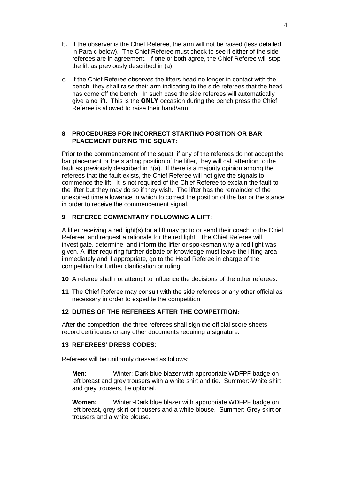- b. If the observer is the Chief Referee, the arm will not be raised (less detailed in Para c below). The Chief Referee must check to see if either of the side referees are in agreement. If one or both agree, the Chief Referee will stop the lift as previously described in (a).
- c. If the Chief Referee observes the lifters head no longer in contact with the bench, they shall raise their arm indicating to the side referees that the head has come off the bench. In such case the side referees will automatically give a no lift. This is the *ONLY* occasion during the bench press the Chief Referee is allowed to raise their hand/arm

## **8 PROCEDURES FOR INCORRECT STARTING POSITION OR BAR PLACEMENT DURING THE SQUAT:**

Prior to the commencement of the squat, if any of the referees do not accept the bar placement or the starting position of the lifter, they will call attention to the fault as previously described in 8(a). If there is a majority opinion among the referees that the fault exists, the Chief Referee will not give the signals to commence the lift. It is not required of the Chief Referee to explain the fault to the lifter but they may do so if they wish. The lifter has the remainder of the unexpired time allowance in which to correct the position of the bar or the stance in order to receive the commencement signal.

# **9 REFEREE COMMENTARY FOLLOWING A LIFT**:

A lifter receiving a red light(s) for a lift may go to or send their coach to the Chief Referee, and request a rationale for the red light. The Chief Referee will investigate, determine, and inform the lifter or spokesman why a red light was given. A lifter requiring further debate or knowledge must leave the lifting area immediately and if appropriate, go to the Head Referee in charge of the competition for further clarification or ruling.

- **10** A referee shall not attempt to influence the decisions of the other referees.
- **11** The Chief Referee may consult with the side referees or any other official as necessary in order to expedite the competition.

# **12 DUTIES OF THE REFEREES AFTER THE COMPETITION:**

After the competition, the three referees shall sign the official score sheets, record certificates or any other documents requiring a signature.

# **13 REFEREES' DRESS CODES**:

Referees will be uniformly dressed as follows:

**Men**: Winter:-Dark blue blazer with appropriate WDFPF badge on left breast and grey trousers with a white shirt and tie. Summer:-White shirt and grey trousers, tie optional.

**Women:** Winter:-Dark blue blazer with appropriate WDFPF badge on left breast, grey skirt or trousers and a white blouse. Summer:-Grey skirt or trousers and a white blouse.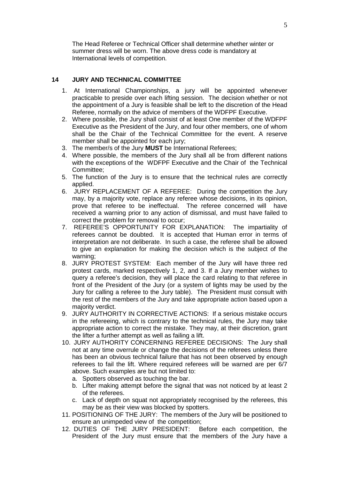The Head Referee or Technical Officer shall determine whether winter or summer dress will be worn. The above dress code is mandatory at International levels of competition.

# **14 JURY AND TECHNICAL COMMITTEE**

- 1. At International Championships, a jury will be appointed whenever practicable to preside over each lifting session. The decision whether or not the appointment of a Jury is feasible shall be left to the discretion of the Head Referee, normally on the advice of members of the WDFPF Executive.
- 2. Where possible, the Jury shall consist of at least One member of the WDFPF Executive as the President of the Jury, and four other members, one of whom shall be the Chair of the Technical Committee for the event. A reserve member shall be appointed for each jury;
- 3. The member/s of the Jury **MUST** be International Referees;
- 4. Where possible, the members of the Jury shall all be from different nations with the exceptions of the WDFPF Executive and the Chair of the Technical Committee;
- 5. The function of the Jury is to ensure that the technical rules are correctly applied.
- 6. JURY REPLACEMENT OF A REFEREE: During the competition the Jury may, by a majority vote, replace any referee whose decisions, in its opinion, prove that referee to be ineffectual. The referee concerned will have received a warning prior to any action of dismissal, and must have failed to correct the problem for removal to occur;
- 7. REFEREE'S OPPORTUNITY FOR EXPLANATION: The impartiality of referees cannot be doubted. It is accepted that Human error in terms of interpretation are not deliberate. In such a case, the referee shall be allowed to give an explanation for making the decision which is the subject of the warning;
- 8. JURY PROTEST SYSTEM: Each member of the Jury will have three red protest cards, marked respectively 1, 2, and 3. If a Jury member wishes to query a referee's decision, they will place the card relating to that referee in front of the President of the Jury (or a system of lights may be used by the Jury for calling a referee to the Jury table). The President must consult with the rest of the members of the Jury and take appropriate action based upon a majority verdict.
- 9. JURY AUTHORITY IN CORRECTIVE ACTIONS: If a serious mistake occurs in the refereeing, which is contrary to the technical rules, the Jury may take appropriate action to correct the mistake. They may, at their discretion, grant the lifter a further attempt as well as failing a lift.
- 10. JURY AUTHORITY CONCERNING REFEREE DECISIONS: The Jury shall not at any time overrule or change the decisions of the referees unless there has been an obvious technical failure that has not been observed by enough referees to fail the lift. Where required referees will be warned are per 6/7 above. Such examples are but not limited to:
	- a. Spotters observed as touching the bar.
	- b. Lifter making attempt before the signal that was not noticed by at least 2 of the referees.
	- c. Lack of depth on squat not appropriately recognised by the referees, this may be as their view was blocked by spotters.
- 11. POSITIONING OF THE JURY: The members of the Jury will be positioned to ensure an unimpeded view of the competition;
- 12. DUTIES OF THE JURY PRESIDENT: Before each competition, the President of the Jury must ensure that the members of the Jury have a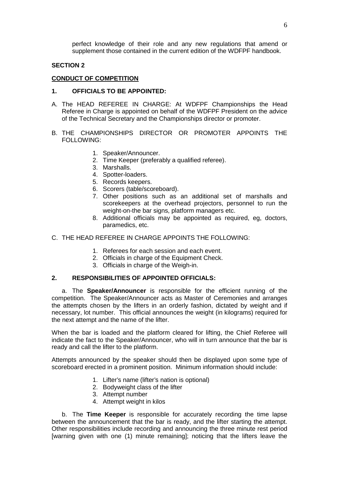perfect knowledge of their role and any new regulations that amend or supplement those contained in the current edition of the WDFPF handbook.

## **SECTION 2**

## **CONDUCT OF COMPETITION**

## **1. OFFICIALS TO BE APPOINTED:**

- A. The HEAD REFEREE IN CHARGE: At WDFPF Championships the Head Referee in Charge is appointed on behalf of the WDFPF President on the advice of the Technical Secretary and the Championships director or promoter.
- B. THE CHAMPIONSHIPS DIRECTOR OR PROMOTER APPOINTS THE FOLLOWING:
	- 1. Speaker/Announcer.
	- 2. Time Keeper (preferably a qualified referee).
	- 3. Marshalls.
	- 4. Spotter-loaders.
	- 5. Records keepers.
	- 6. Scorers (table/scoreboard).
	- 7. Other positions such as an additional set of marshalls and scorekeepers at the overhead projectors, personnel to run the weight-on-the bar signs, platform managers etc.
	- 8. Additional officials may be appointed as required, eg, doctors, paramedics, etc.
- C. THE HEAD REFEREE IN CHARGE APPOINTS THE FOLLOWING:
	- 1. Referees for each session and each event.
	- 2. Officials in charge of the Equipment Check.
	- 3. Officials in charge of the Weigh-in.

#### **2. RESPONSIBILITIES OF APPOINTED OFFICIALS:**

a. The **Speaker/Announcer** is responsible for the efficient running of the competition. The Speaker/Announcer acts as Master of Ceremonies and arranges the attempts chosen by the lifters in an orderly fashion, dictated by weight and if necessary, lot number. This official announces the weight (in kilograms) required for the next attempt and the name of the lifter.

When the bar is loaded and the platform cleared for lifting, the Chief Referee will indicate the fact to the Speaker/Announcer, who will in turn announce that the bar is ready and call the lifter to the platform.

Attempts announced by the speaker should then be displayed upon some type of scoreboard erected in a prominent position. Minimum information should include:

- 1. Lifter's name (lifter's nation is optional)
- 2. Bodyweight class of the lifter
- 3. Attempt number
- 4. Attempt weight in kilos

b. The **Time Keeper** is responsible for accurately recording the time lapse between the announcement that the bar is ready, and the lifter starting the attempt. Other responsibilities include recording and announcing the three minute rest period [warning given with one (1) minute remaining]; noticing that the lifters leave the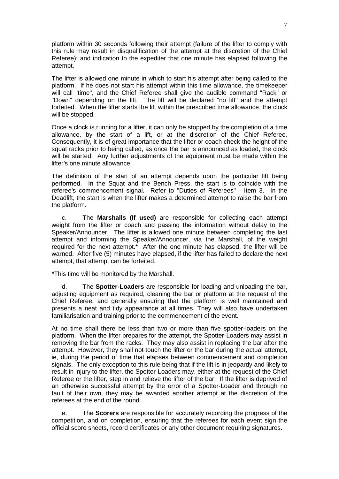platform within 30 seconds following their attempt (failure of the lifter to comply with this rule may result in disqualification of the attempt at the discretion of the Chief Referee); and indication to the expediter that one minute has elapsed following the attempt.

The lifter is allowed one minute in which to start his attempt after being called to the platform. If he does not start his attempt within this time allowance, the timekeeper will call "time", and the Chief Referee shall give the audible command "Rack" or "Down" depending on the lift. The lift will be declared "no lift" and the attempt forfeited. When the lifter starts the lift within the prescribed time allowance, the clock will be stopped.

Once a clock is running for a lifter, it can only be stopped by the completion of a time allowance, by the start of a lift, or at the discretion of the Chief Referee. Consequently, it is of great importance that the lifter or coach check the height of the squat racks prior to being called, as once the bar is announced as loaded, the clock will be started. Any further adjustments of the equipment must be made within the lifter's one minute allowance.

The definition of the start of an attempt depends upon the particular lift being performed. In the Squat and the Bench Press, the start is to coincide with the referee's commencement signal. Refer to "Duties of Referees" - Item 3. In the Deadlift, the start is when the lifter makes a determined attempt to raise the bar from the platform.

c. The **Marshalls (If used)** are responsible for collecting each attempt weight from the lifter or coach and passing the information without delay to the Speaker/Announcer. The lifter is allowed one minute between completing the last attempt and informing the Speaker/Announcer, via the Marshall, of the weight required for the next attempt.\* After the one minute has elapsed, the lifter will be warned. After five (5) minutes have elapsed, if the lifter has failed to declare the next attempt, that attempt can be forfeited.

\*This time will be monitored by the Marshall.

d. The **Spotter-Loaders** are responsible for loading and unloading the bar, adjusting equipment as required, cleaning the bar or platform at the request of the Chief Referee, and generally ensuring that the platform is well maintained and presents a neat and tidy appearance at all times. They will also have undertaken familiarisation and training prior to the commencement of the event.

At no time shall there be less than two or more than five spotter-loaders on the platform. When the lifter prepares for the attempt, the Spotter-Loaders may assist in removing the bar from the racks. They may also assist in replacing the bar after the attempt. However, they shall not touch the lifter or the bar during the actual attempt, ie, during the period of time that elapses between commencement and completion signals. The only exception to this rule being that if the lift is in jeopardy and likely to result in injury to the lifter, the Spotter-Loaders may, either at the request of the Chief Referee or the lifter, step in and relieve the lifter of the bar. If the lifter is deprived of an otherwise successful attempt by the error of a Spotter-Loader and through no fault of their own, they may be awarded another attempt at the discretion of the referees at the end of the round.

e. The **Scorers** are responsible for accurately recording the progress of the competition, and on completion, ensuring that the referees for each event sign the official score sheets, record certificates or any other document requiring signatures.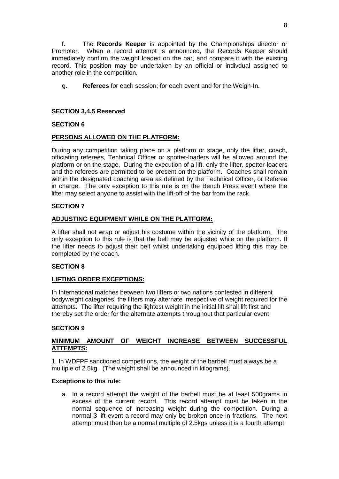f. The **Records Keeper** is appointed by the Championships director or Promoter. When a record attempt is announced, the Records Keeper should immediately confirm the weight loaded on the bar, and compare it with the existing record. This position may be undertaken by an official or indivdual assigned to another role in the competition.

g. **Referees** for each session; for each event and for the Weigh-In.

# **SECTION 3,4,5 Reserved**

# **SECTION 6**

# **PERSONS ALLOWED ON THE PLATFORM:**

During any competition taking place on a platform or stage, only the lifter, coach, officiating referees, Technical Officer or spotter-loaders will be allowed around the platform or on the stage. During the execution of a lift, only the lifter, spotter-loaders and the referees are permitted to be present on the platform. Coaches shall remain within the designated coaching area as defined by the Technical Officer, or Referee in charge. The only exception to this rule is on the Bench Press event where the lifter may select anyone to assist with the lift-off of the bar from the rack.

# **SECTION 7**

# **ADJUSTING EQUIPMENT WHILE ON THE PLATFORM:**

A lifter shall not wrap or adjust his costume within the vicinity of the platform. The only exception to this rule is that the belt may be adjusted while on the platform. If the lifter needs to adjust their belt whilst undertaking equipped lifting this may be completed by the coach.

#### **SECTION 8**

#### **LIFTING ORDER EXCEPTIONS:**

In International matches between two lifters or two nations contested in different bodyweight categories, the lifters may alternate irrespective of weight required for the attempts. The lifter requiring the lightest weight in the initial lift shall lift first and thereby set the order for the alternate attempts throughout that particular event.

#### **SECTION 9**

## **MINIMUM AMOUNT OF WEIGHT INCREASE BETWEEN SUCCESSFUL ATTEMPTS:**

1. In WDFPF sanctioned competitions, the weight of the barbell must always be a multiple of 2.5kg. (The weight shall be announced in kilograms).

#### **Exceptions to this rule:**

a. In a record attempt the weight of the barbell must be at least 500grams in excess of the current record. This record attempt must be taken in the normal sequence of increasing weight during the competition. During a normal 3 lift event a record may only be broken once in fractions. The next attempt must then be a normal multiple of 2.5kgs unless it is a fourth attempt.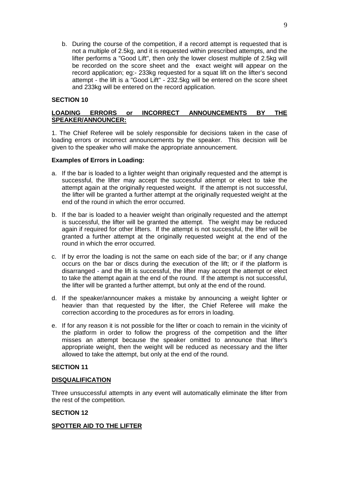b. During the course of the competition, if a record attempt is requested that is not a multiple of 2.5kg, and it is requested within prescribed attempts, and the lifter performs a "Good Lift", then only the lower closest multiple of 2.5kg will be recorded on the score sheet and the exact weight will appear on the record application; eg:- 233kg requested for a squat lift on the lifter's second attempt - the lift is a "Good Lift" - 232.5kg will be entered on the score sheet and 233kg will be entered on the record application.

## **SECTION 10**

## **LOADING ERRORS or INCORRECT ANNOUNCEMENTS BY THE SPEAKER/ANNOUNCER:**

1. The Chief Referee will be solely responsible for decisions taken in the case of loading errors or incorrect announcements by the speaker. This decision will be given to the speaker who will make the appropriate announcement.

#### **Examples of Errors in Loading:**

- a. If the bar is loaded to a lighter weight than originally requested and the attempt is successful, the lifter may accept the successful attempt or elect to take the attempt again at the originally requested weight. If the attempt is not successful, the lifter will be granted a further attempt at the originally requested weight at the end of the round in which the error occurred.
- b. If the bar is loaded to a heavier weight than originally requested and the attempt is successful, the lifter will be granted the attempt. The weight may be reduced again if required for other lifters. If the attempt is not successful, the lifter will be granted a further attempt at the originally requested weight at the end of the round in which the error occurred.
- c. If by error the loading is not the same on each side of the bar; or if any change occurs on the bar or discs during the execution of the lift; or if the platform is disarranged - and the lift is successful, the lifter may accept the attempt or elect to take the attempt again at the end of the round. If the attempt is not successful, the lifter will be granted a further attempt, but only at the end of the round.
- d. If the speaker/announcer makes a mistake by announcing a weight lighter or heavier than that requested by the lifter, the Chief Referee will make the correction according to the procedures as for errors in loading.
- e. If for any reason it is not possible for the lifter or coach to remain in the vicinity of the platform in order to follow the progress of the competition and the lifter misses an attempt because the speaker omitted to announce that lifter's appropriate weight, then the weight will be reduced as necessary and the lifter allowed to take the attempt, but only at the end of the round.

#### **SECTION 11**

#### **DISQUALIFICATION**

Three unsuccessful attempts in any event will automatically eliminate the lifter from the rest of the competition.

#### **SECTION 12**

#### **SPOTTER AID TO THE LIFTER**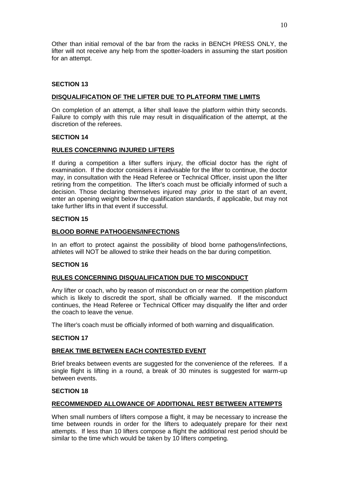Other than initial removal of the bar from the racks in BENCH PRESS ONLY, the lifter will not receive any help from the spotter-loaders in assuming the start position for an attempt.

# **SECTION 13**

# **DISQUALIFICATION OF THE LIFTER DUE TO PLATFORM TIME LIMITS**

On completion of an attempt, a lifter shall leave the platform within thirty seconds. Failure to comply with this rule may result in disqualification of the attempt, at the discretion of the referees.

#### **SECTION 14**

## **RULES CONCERNING INJURED LIFTERS**

If during a competition a lifter suffers injury, the official doctor has the right of examination. If the doctor considers it inadvisable for the lifter to continue, the doctor may, in consultation with the Head Referee or Technical Officer, insist upon the lifter retiring from the competition. The lifter's coach must be officially informed of such a decision. Those declaring themselves injured may ,prior to the start of an event, enter an opening weight below the qualification standards, if applicable, but may not take further lifts in that event if successful.

## **SECTION 15**

## **BLOOD BORNE PATHOGENS/INFECTIONS**

In an effort to protect against the possibility of blood borne pathogens/infections, athletes will NOT be allowed to strike their heads on the bar during competition.

#### **SECTION 16**

#### **RULES CONCERNING DISQUALIFICATION DUE TO MISCONDUCT**

Any lifter or coach, who by reason of misconduct on or near the competition platform which is likely to discredit the sport, shall be officially warned. If the misconduct continues, the Head Referee or Technical Officer may disqualify the lifter and order the coach to leave the venue.

The lifter's coach must be officially informed of both warning and disqualification.

#### **SECTION 17**

# **BREAK TIME BETWEEN EACH CONTESTED EVENT**

Brief breaks between events are suggested for the convenience of the referees. If a single flight is lifting in a round, a break of 30 minutes is suggested for warm-up between events.

#### **SECTION 18**

# **RECOMMENDED ALLOWANCE OF ADDITIONAL REST BETWEEN ATTEMPTS**

When small numbers of lifters compose a flight, it may be necessary to increase the time between rounds in order for the lifters to adequately prepare for their next attempts. If less than 10 lifters compose a flight the additional rest period should be similar to the time which would be taken by 10 lifters competing.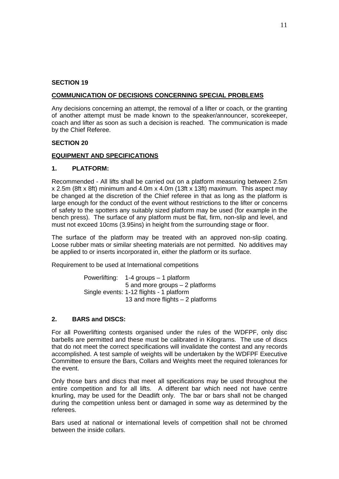#### **SECTION 19**

## **COMMUNICATION OF DECISIONS CONCERNING SPECIAL PROBLEMS**

Any decisions concerning an attempt, the removal of a lifter or coach, or the granting of another attempt must be made known to the speaker/announcer, scorekeeper, coach and lifter as soon as such a decision is reached. The communication is made by the Chief Referee.

## **SECTION 20**

## **EQUIPMENT AND SPECIFICATIONS**

## **1. PLATFORM:**

Recommended - All lifts shall be carried out on a platform measuring between 2.5m x 2.5m (8ft x 8ft) minimum and 4.0m x 4.0m (13ft x 13ft) maximum. This aspect may be changed at the discretion of the Chief referee in that as long as the platform is large enough for the conduct of the event without restrictions to the lifter or concerns of safety to the spotters any suitably sized platform may be used (for example in the bench press). The surface of any platform must be flat, firm, non-slip and level, and must not exceed 10cms (3.95ins) in height from the surrounding stage or floor.

The surface of the platform may be treated with an approved non-slip coating. Loose rubber mats or similar sheeting materials are not permitted. No additives may be applied to or inserts incorporated in, either the platform or its surface.

Requirement to be used at International competitions

Powerlifting: 1-4 groups – 1 platform 5 and more groups – 2 platforms Single events: 1-12 flights - 1 platform 13 and more flights – 2 platforms

# **2. BARS and DISCS:**

For all Powerlifting contests organised under the rules of the WDFPF, only disc barbells are permitted and these must be calibrated in Kilograms. The use of discs that do not meet the correct specifications will invalidate the contest and any records accomplished. A test sample of weights will be undertaken by the WDFPF Executive Committee to ensure the Bars, Collars and Weights meet the required tolerances for the event.

Only those bars and discs that meet all specifications may be used throughout the entire competition and for all lifts. A different bar which need not have centre knurling, may be used for the Deadlift only. The bar or bars shall not be changed during the competition unless bent or damaged in some way as determined by the referees.

Bars used at national or international levels of competition shall not be chromed between the inside collars.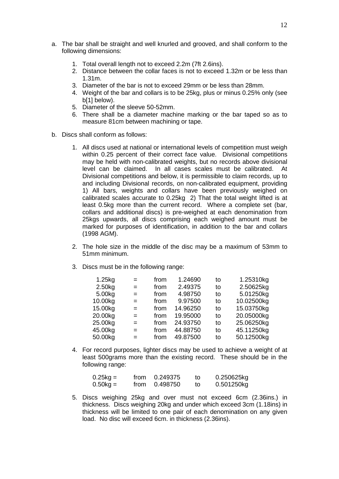- a. The bar shall be straight and well knurled and grooved, and shall conform to the following dimensions:
	- 1. Total overall length not to exceed 2.2m (7ft 2.6ins).
	- 2. Distance between the collar faces is not to exceed 1.32m or be less than 1.31m.
	- 3. Diameter of the bar is not to exceed 29mm or be less than 28mm.
	- 4. Weight of the bar and collars is to be 25kg, plus or minus 0.25% only (see b[1] below).
	- 5. Diameter of the sleeve 50-52mm.
	- 6. There shall be a diameter machine marking or the bar taped so as to measure 81cm between machining or tape.
- b. Discs shall conform as follows:
	- 1. All discs used at national or international levels of competition must weigh within 0.25 percent of their correct face value. Divisional competitions may be held with non-calibrated weights, but no records above divisional level can be claimed. In all cases scales must be calibrated. At Divisional competitions and below, it is permissible to claim records, up to and including Divisional records, on non-calibrated equipment, providing 1) All bars, weights and collars have been previously weighed on calibrated scales accurate to 0.25kg 2) That the total weight lifted is at least 0.5kg more than the current record. Where a complete set (bar, collars and additional discs) is pre-weighed at each denomination from 25kgs upwards, all discs comprising each weighed amount must be marked for purposes of identification, in addition to the bar and collars (1998 AGM).
	- 2. The hole size in the middle of the disc may be a maximum of 53mm to 51mm minimum.
	- 3. Discs must be in the following range:

| 1.25kg  | $=$ | from | 1.24690  | to | 1.25310kg  |
|---------|-----|------|----------|----|------------|
| 2.50kg  | $=$ | from | 2.49375  | to | 2.50625kg  |
| 5.00kg  | $=$ | from | 4.98750  | to | 5.01250kg  |
| 10.00kg | $=$ | from | 9.97500  | to | 10.02500kg |
| 15.00kg | $=$ | from | 14.96250 | to | 15.03750kg |
| 20.00kg | $=$ | from | 19.95000 | to | 20.05000kg |
| 25.00kg | $=$ | from | 24.93750 | to | 25.06250kg |
| 45.00kg | $=$ | from | 44.88750 | to | 45.11250kg |
| 50.00kg | $=$ | from | 49.87500 | to | 50.12500kg |

4. For record purposes, lighter discs may be used to achieve a weight of at least 500grams more than the existing record. These should be in the following range:

| $0.25$ kg = | from $0.249375$ | to | 0.250625kg |
|-------------|-----------------|----|------------|
| $0.50$ kg = | from 0.498750   | τo | 0.501250kg |

5. Discs weighing 25kg and over must not exceed 6cm (2.36ins.) in thickness. Discs weighing 20kg and under which exceed 3cm (1.18ins) in thickness will be limited to one pair of each denomination on any given load. No disc will exceed 6cm. in thickness (2.36ins).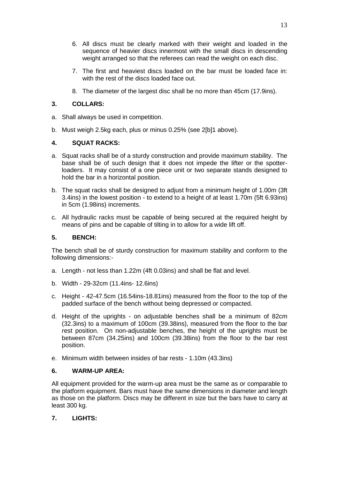- 6. All discs must be clearly marked with their weight and loaded in the sequence of heavier discs innermost with the small discs in descending weight arranged so that the referees can read the weight on each disc.
- 7. The first and heaviest discs loaded on the bar must be loaded face in: with the rest of the discs loaded face out.
- 8. The diameter of the largest disc shall be no more than 45cm (17.9ins).

# **3. COLLARS:**

- a. Shall always be used in competition.
- b. Must weigh 2.5kg each, plus or minus 0.25% (see 2[b]1 above).

# **4. SQUAT RACKS:**

- a. Squat racks shall be of a sturdy construction and provide maximum stability. The base shall be of such design that it does not impede the lifter or the spotterloaders. It may consist of a one piece unit or two separate stands designed to hold the bar in a horizontal position.
- b. The squat racks shall be designed to adjust from a minimum height of 1.00m (3ft 3.4ins) in the lowest position - to extend to a height of at least 1.70m (5ft 6.93ins) in 5cm (1.98ins) increments.
- c. All hydraulic racks must be capable of being secured at the required height by means of pins and be capable of tilting in to allow for a wide lift off.

## **5. BENCH:**

The bench shall be of sturdy construction for maximum stability and conform to the following dimensions:-

- a. Length not less than 1.22m (4ft 0.03ins) and shall be flat and level.
- b. Width 29-32cm (11.4ins- 12.6ins)
- c. Height 42-47.5cm (16.54ins-18.81ins) measured from the floor to the top of the padded surface of the bench without being depressed or compacted.
- d. Height of the uprights on adjustable benches shall be a minimum of 82cm (32.3ins) to a maximum of 100cm (39.38ins), measured from the floor to the bar rest position. On non-adjustable benches, the height of the uprights must be between 87cm (34.25ins) and 100cm (39.38ins) from the floor to the bar rest position.
- e. Minimum width between insides of bar rests 1.10m (43.3ins)

# **6. WARM-UP AREA:**

All equipment provided for the warm-up area must be the same as or comparable to the platform equipment. Bars must have the same dimensions in diameter and length as those on the platform. Discs may be different in size but the bars have to carry at least 300 kg.

# **7. LIGHTS:**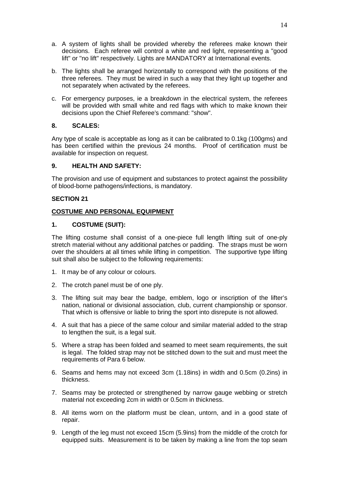- a. A system of lights shall be provided whereby the referees make known their decisions. Each referee will control a white and red light, representing a "good lift" or "no lift" respectively. Lights are MANDATORY at International events.
- b. The lights shall be arranged horizontally to correspond with the positions of the three referees. They must be wired in such a way that they light up together and not separately when activated by the referees.
- c. For emergency purposes, ie a breakdown in the electrical system, the referees will be provided with small white and red flags with which to make known their decisions upon the Chief Referee's command: "show".

# **8. SCALES:**

Any type of scale is acceptable as long as it can be calibrated to 0.1kg (100gms) and has been certified within the previous 24 months. Proof of certification must be available for inspection on request.

# **9. HEALTH AND SAFETY:**

The provision and use of equipment and substances to protect against the possibility of blood-borne pathogens/infections, is mandatory.

# **SECTION 21**

# **COSTUME AND PERSONAL EQUIPMENT**

# **1. COSTUME (SUIT):**

The lifting costume shall consist of a one-piece full length lifting suit of one-ply stretch material without any additional patches or padding. The straps must be worn over the shoulders at all times while lifting in competition. The supportive type lifting suit shall also be subject to the following requirements:

- 1. It may be of any colour or colours.
- 2. The crotch panel must be of one ply.
- 3. The lifting suit may bear the badge, emblem, logo or inscription of the lifter's nation, national or divisional association, club, current championship or sponsor. That which is offensive or liable to bring the sport into disrepute is not allowed.
- 4. A suit that has a piece of the same colour and similar material added to the strap to lengthen the suit, is a legal suit.
- 5. Where a strap has been folded and seamed to meet seam requirements, the suit is legal. The folded strap may not be stitched down to the suit and must meet the requirements of Para 6 below.
- 6. Seams and hems may not exceed 3cm (1.18ins) in width and 0.5cm (0.2ins) in thickness.
- 7. Seams may be protected or strengthened by narrow gauge webbing or stretch material not exceeding 2cm in width or 0.5cm in thickness.
- 8. All items worn on the platform must be clean, untorn, and in a good state of repair.
- 9. Length of the leg must not exceed 15cm (5.9ins) from the middle of the crotch for equipped suits. Measurement is to be taken by making a line from the top seam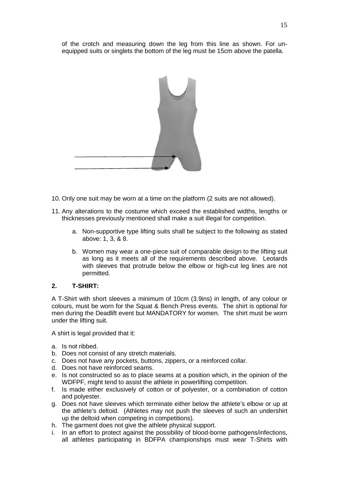of the crotch and measuring down the leg from this line as shown. For un equipped suits or singlets the bottom of the leg must be 15cm above the patella.



- 10. Only one suit may be worn at a time on the platform (2 suits are not allowed).
- 11. Any alterations to the costume which exceed the established widths, lengths or thicknesses previously mentioned shall make a suit illegal for competition.
	- a. Non-supportive type lifting suits shall be subject to the following as stated above: 1, 3, & 8.
	- b. Women may wear a one-piece suit of comparable design to the lifting suit as long as it meets all of the requirements described above. Leotards with sleeves that protrude below the elbow or high-cut leg lines are not permitted.

# **2. T-SHIRT:**

A T-Shirt with short sleeves a minimum of 10cm (3.9ins) in length, of any colour or colours, must be worn for the Squat & Bench Press events. The shirt is optional for men during the Deadlift event but MANDATORY for women. The shirt must be worn under the lifting suit.

A shirt is legal provided that it:

- a. Is not ribbed.
- b. Does not consist of any stretch materials.
- c. Does not have any pockets, buttons, zippers, or a reinforced collar.
- d. Does not have reinforced seams.
- e. Is not constructed so as to place seams at a position which, in the opinion of the WDFPF, might tend to assist the athlete in powerlifting competition.
- f. Is made either exclusively of cotton or of polyester, or a combination of cotton and polyester.
- g. Does not have sleeves which terminate either below the athlete's elbow or up at the athlete's deltoid. (Athletes may not push the sleeves of such an undershirt up the deltoid when competing in competitions).
- h. The garment does not give the athlete physical support.
- i. In an effort to protect against the possibility of blood-borne pathogens/infections, all athletes participating in BDFPA championships must wear T-Shirts with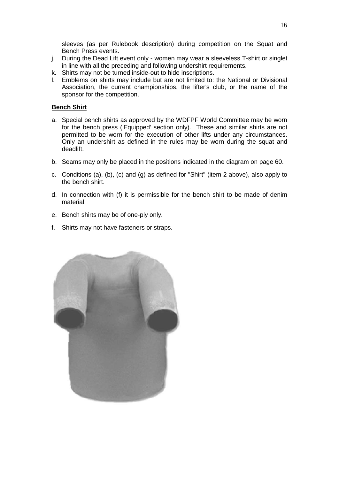sleeves (as per Rulebook description) during competition on the Squat and Bench Press events.

- j. During the Dead Lift event only women may wear a sleeveless T-shirt or singlet in line with all the preceding and following undershirt requirements.
- k. Shirts may not be turned inside-out to hide inscriptions.
- l. Emblems on shirts may include but are not limited to: the National or Divisional Association, the current championships, the lifter's club, or the name of the sponsor for the competition.

# **Bench Shirt**

- a. Special bench shirts as approved by the WDFPF World Committee may be worn for the bench press ('Equipped' section only). These and similar shirts are not permitted to be worn for the execution of other lifts under any circumstances. Only an undershirt as defined in the rules may be worn during the squat and deadlift.
- b. Seams may only be placed in the positions indicated in the diagram on page 60.
- c. Conditions (a), (b), (c) and (g) as defined for "Shirt" (item 2 above), also apply to the bench shirt.
- d. In connection with (f) it is permissible for the bench shirt to be made of denim material.
- e. Bench shirts may be of one-ply only.
- f. Shirts may not have fasteners or straps.

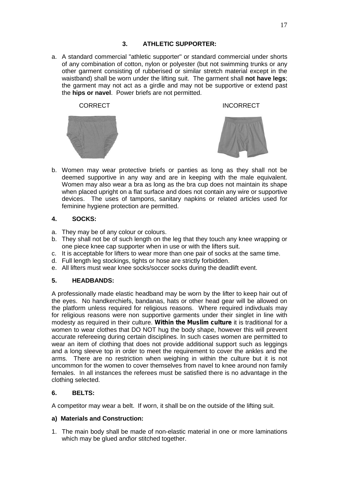# **3. ATHLETIC SUPPORTER:**

a. A standard commercial "athletic supporter" or standard commercial under shorts of any combination of cotton, nylon or polyester (but not swimming trunks or any other garment consisting of rubberised or similar stretch material except in the waistband) shall be worn under the lifting suit. The garment shall **not have legs**; the garment may not act as a girdle and may not be supportive or extend past the **hips or navel**. Power briefs are not permitted.





b. Women may wear protective briefs or panties as long as they shall not be deemed supportive in any way and are in keeping with the male equivalent. Women may also wear a bra as long as the bra cup does not maintain its shape when placed upright on a flat surface and does not contain any wire or supportive devices. The uses of tampons, sanitary napkins or related articles used for The uses of tampons, sanitary napkins or related articles used for feminine hygiene protection are permitted.

# **4. SOCKS:**

- a. They may be of any colour or colours.
- b. They shall not be of such length on the leg that they touch any knee wrapping or one piece knee cap supporter when in use or with the lifters suit.
- c. It is acceptable for lifters to wear more than one pair of socks at the same time.
- d. Full length leg stockings, tights or hose are strictly forbidden.
- e. All lifters must wear knee socks/soccer socks during the deadlift event.

# **5. HEADBANDS:**

A professionally made elastic headband may be worn by the lifter to keep hair out of the eyes. No handkerchiefs, bandanas, hats or other head gear will be allowed on the platform unless required for religious reasons. Where required indivduals may for religious reasons were non supportive garments under their singlet in line with modesty as required in their culture. *Within the Muslim culture* it is traditional for a women to wear clothes that DO NOT hug the body shape, however this will prevent accurate refereeing during certain disciplines. In such cases women are permitted to wear an item of clothing that does not provide additional support such as leggings and a long sleeve top in order to meet the requirement to cover the ankles and the arms. There are no restriction when weighing in within the culture but it is not uncommon for the women to cover themselves from navel to knee around non family females. In all instances the referees must be satisfied there is no advantage in the clothing selected.

# **6. BELTS:**

A competitor may wear a belt. If worn, it shall be on the outside of the lifting suit.

# **a) Materials and Construction:**

1. The main body shall be made of non-elastic material in one or more laminations which may be glued and\or stitched together.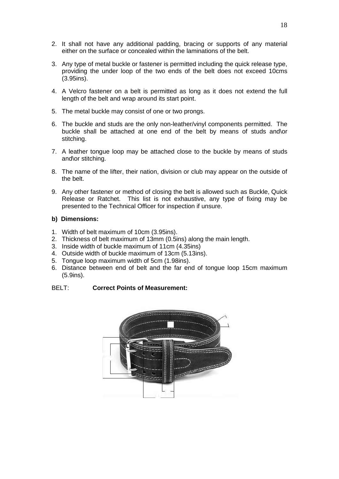- 2. It shall not have any additional padding, bracing or supports of any material either on the surface or concealed within the laminations of the belt.
- 3. Any type of metal buckle or fastener is permitted including the quick release type, providing the under loop of the two ends of the belt does not exceed 10cms (3.95ins).
- 4. A Velcro fastener on a belt is permitted as long as it does not extend the full length of the belt and wrap around its start point.
- 5. The metal buckle may consist of one or two prongs.
- 6. The buckle and studs are the only non-leather/vinyl components permitted. The buckle shall be attached at one end of the belt by means of studs and\or stitching.
- 7. A leather tongue loop may be attached close to the buckle by means of studs and\or stitching.
- 8. The name of the lifter, their nation, division or club may appear on the outside of the belt.
- 9. Any other fastener or method of closing the belt is allowed such as Buckle, Quick Release or Ratchet. This list is not exhaustive, any type of fixing may be presented to the Technical Officer for inspection if unsure.

## **b) Dimensions:**

- 1. Width of belt maximum of 10cm (3.95ins).
- 2. Thickness of belt maximum of 13mm (0.5ins) along the main length.
- 3. Inside width of buckle maximum of 11cm (4.35ins)
- 4. Outside width of buckle maximum of 13cm (5.13ins).
- 5. Tongue loop maximum width of 5cm (1.98ins).
- 6. Distance between end of belt and the far end of tongue loop 15cm maximum (5.9ins).

#### BELT: **Correct Points of Measurement:**

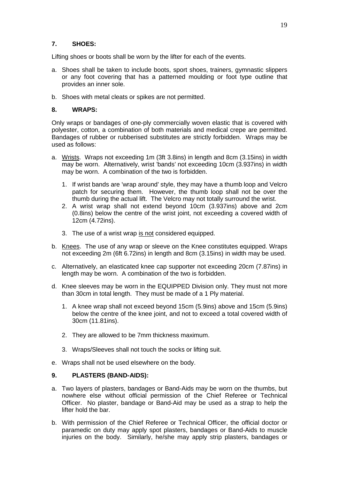# **7. SHOES:**

Lifting shoes or boots shall be worn by the lifter for each of the events.

- a. Shoes shall be taken to include boots, sport shoes, trainers, gymnastic slippers or any foot covering that has a patterned moulding or foot type outline that provides an inner sole.
- b. Shoes with metal cleats or spikes are not permitted.

# **8. WRAPS:**

Only wraps or bandages of one-ply commercially woven elastic that is covered with polyester, cotton, a combination of both materials and medical crepe are permitted. Bandages of rubber or rubberised substitutes are strictly forbidden. Wraps may be used as follows:

- a. Wrists. Wraps not exceeding 1m (3ft 3.8ins) in length and 8cm (3.15ins) in width may be worn. Alternatively, wrist 'bands' not exceeding 10cm (3.937ins) in width may be worn. A combination of the two is forbidden.
	- 1. If wrist bands are 'wrap around' style, they may have a thumb loop and Velcro patch for securing them. However, the thumb loop shall not be over the thumb during the actual lift. The Velcro may not totally surround the wrist.
	- 2. A wrist wrap shall not extend beyond 10cm (3.937ins) above and 2cm (0.8ins) below the centre of the wrist joint, not exceeding a covered width of 12cm (4.72ins).
	- 3. The use of a wrist wrap is not considered equipped.
- b. Knees. The use of any wrap or sleeve on the Knee constitutes equipped. Wraps not exceeding 2m (6ft 6.72ins) in length and 8cm (3.15ins) in width may be used.
- c. Alternatively, an elasticated knee cap supporter not exceeding 20cm (7.87ins) in length may be worn. A combination of the two is forbidden.
- d. Knee sleeves may be worn in the EQUIPPED Division only. They must not more than 30cm in total length. They must be made of a 1 Ply material.
	- 1. A knee wrap shall not exceed beyond 15cm (5.9ins) above and 15cm (5.9ins) below the centre of the knee joint, and not to exceed a total covered width of 30cm (11.81ins).
	- 2. They are allowed to be 7mm thickness maximum.
	- 3. Wraps/Sleeves shall not touch the socks or lifting suit.
- e. Wraps shall not be used elsewhere on the body.

# **9. PLASTERS (BAND-AIDS):**

- a. Two layers of plasters, bandages or Band-Aids may be worn on the thumbs, but nowhere else without official permission of the Chief Referee or Technical Officer. No plaster, bandage or Band-Aid may be used as a strap to help the lifter hold the bar.
- b. With permission of the Chief Referee or Technical Officer, the official doctor or paramedic on duty may apply spot plasters, bandages or Band-Aids to muscle injuries on the body. Similarly, he/she may apply strip plasters, bandages or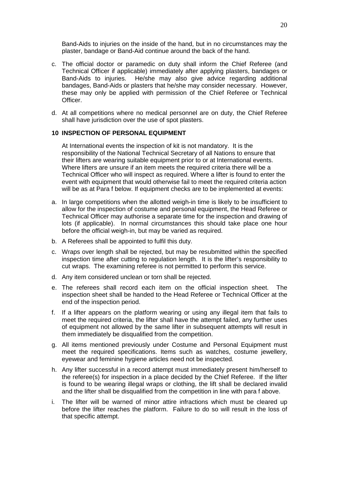Band-Aids to injuries on the inside of the hand, but in no circumstances may the plaster, bandage or Band-Aid continue around the back of the hand.

- c. The official doctor or paramedic on duty shall inform the Chief Referee (and Technical Officer if applicable) immediately after applying plasters, bandages or Band-Aids to injuries. He/she may also give advice regarding additional bandages, Band-Aids or plasters that he/she may consider necessary. However, these may only be applied with permission of the Chief Referee or Technical Officer.
- d. At all competitions where no medical personnel are on duty, the Chief Referee shall have jurisdiction over the use of spot plasters.

## **10 INSPECTION OF PERSONAL EQUIPMENT**

At International events the inspection of kit is not mandatory. It is the responsibility of the National Technical Secretary of all Nations to ensure that their lifters are wearing suitable equipment prior to or at International events. Where lifters are unsure if an item meets the required criteria there will be a Technical Officer who will inspect as required. Where a lifter is found to enter the event with equipment that would otherwise fail to meet the required criteria action will be as at Para f below. If equipment checks are to be implemented at events:

- a. In large competitions when the allotted weigh-in time is likely to be insufficient to allow for the inspection of costume and personal equipment, the Head Referee or Technical Officer may authorise a separate time for the inspection and drawing of lots (if applicable). In normal circumstances this should take place one hour before the official weigh-in, but may be varied as required.
- b. A Referees shall be appointed to fulfil this duty.
- c. Wraps over length shall be rejected, but may be resubmitted within the specified inspection time after cutting to regulation length. It is the lifter's responsibility to cut wraps. The examining referee is not permitted to perform this service.
- d. Any item considered unclean or torn shall be rejected.
- e. The referees shall record each item on the official inspection sheet. The inspection sheet shall be handed to the Head Referee or Technical Officer at the end of the inspection period.
- f. If a lifter appears on the platform wearing or using any illegal item that fails to meet the required criteria, the lifter shall have the attempt failed, any further uses of equipment not allowed by the same lifter in subsequent attempts will result in them immediately be disqualified from the competition.
- g. All items mentioned previously under Costume and Personal Equipment must meet the required specifications. Items such as watches, costume jewellery, eyewear and feminine hygiene articles need not be inspected.
- h. Any lifter successful in a record attempt must immediately present him/herself to the referee(s) for inspection in a place decided by the Chief Referee. If the lifter is found to be wearing illegal wraps or clothing, the lift shall be declared invalid and the lifter shall be disqualified from the competition in line with para f above.
- i. The lifter will be warned of minor attire infractions which must be cleared up before the lifter reaches the platform. Failure to do so will result in the loss of that specific attempt.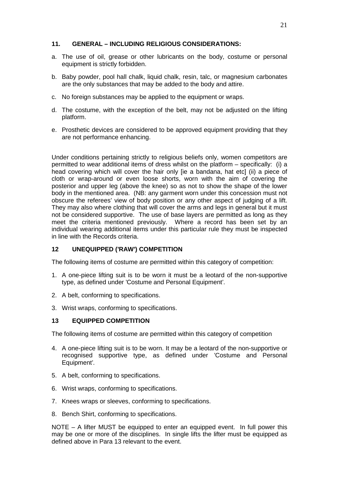# **11. GENERAL – INCLUDING RELIGIOUS CONSIDERATIONS:**

- a. The use of oil, grease or other lubricants on the body, costume or personal equipment is strictly forbidden.
- b. Baby powder, pool hall chalk, liquid chalk, resin, talc, or magnesium carbonates are the only substances that may be added to the body and attire.
- c. No foreign substances may be applied to the equipment or wraps.
- d. The costume, with the exception of the belt, may not be adjusted on the lifting platform.
- e. Prosthetic devices are considered to be approved equipment providing that they are not performance enhancing.

Under conditions pertaining strictly to religious beliefs only, women competitors are permitted to wear additional items of dress whilst on the platform – specifically: (i) a head covering which will cover the hair only [ie a bandana, hat etc] (ii) a piece of cloth or wrap-around or even loose shorts, worn with the aim of covering the posterior and upper leg (above the knee) so as not to show the shape of the lower body in the mentioned area. (NB: any garment worn under this concession must not obscure the referees' view of body position or any other aspect of judging of a lift. They may also where clothing that will cover the arms and legs in general but it must not be considered supportive. The use of base layers are permitted as long as they meet the criteria mentioned previously. Where a record has been set by an individual wearing additional items under this particular rule they must be inspected in line with the Records criteria.

# **12 UNEQUIPPED ('RAW') COMPETITION**

The following items of costume are permitted within this category of competition:

- 1. A one-piece lifting suit is to be worn it must be a leotard of the non-supportive type, as defined under 'Costume and Personal Equipment'.
- 2. A belt, conforming to specifications.
- 3. Wrist wraps, conforming to specifications.

# **13 EQUIPPED COMPETITION**

The following items of costume are permitted within this category of competition

- 4. A one-piece lifting suit is to be worn. It may be a leotard of the non-supportive or recognised supportive type, as defined under 'Costume and Personal Equipment'.
- 5. A belt, conforming to specifications.
- 6. Wrist wraps, conforming to specifications.
- 7. Knees wraps or sleeves, conforming to specifications.
- 8. Bench Shirt, conforming to specifications.

NOTE – A lifter MUST be equipped to enter an equipped event. In full power this may be one or more of the disciplines. In single lifts the lifter must be equipped as defined above in Para 13 relevant to the event.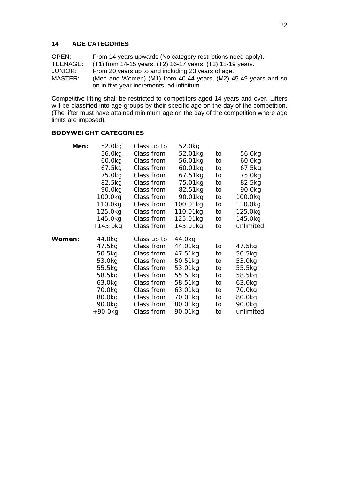## **14 AGE CATEGORIES**

OPEN: From 14 years upwards (No category restrictions need apply).<br>TEENAGE: (T1) from 14-15 years. (T2) 16-17 years. (T3) 18-19 years. TEENAGE: (T1) from 14-15 years, (T2) 16-17 years, (T3) 18-19 years.<br>JUNIOR: From 20 years up to and including 23 years of age. JUNIOR: From 20 years up to and including 23 years of age. (Men and Women) (M1) from 40-44 years,  $(M2)$  45-49 years and so on in five year increments, ad infinitum.

Competitive lifting shall be restricted to competitors aged 14 years and over. Lifters will be classified into age groups by their specific age on the day of the competition. (The lifter must have attained minimum age on the day of the competition where age limits are imposed).

#### **BODYWEIGHT CATEGORIES**

| Men:   | 52.0kg   | Class up to | 52.0kg   |    |           |  |
|--------|----------|-------------|----------|----|-----------|--|
|        | 56.0kg   | Class from  | 52.01kg  | to | 56.0kg    |  |
|        | 60.0kg   | Class from  | 56.01kg  | to | 60.0kg    |  |
|        | 67.5kg   | Class from  | 60.01kg  | to | 67.5kg    |  |
|        | 75.0kg   | Class from  | 67.51kg  | to | 75.0kg    |  |
|        | 82.5kg   | Class from  | 75.01kg  | to | 82.5kg    |  |
|        | 90.0kg   | Class from  | 82.51kg  | to | 90.0kg    |  |
|        | 100.0kg  | Class from  | 90.01kg  | to | 100.0kg   |  |
|        | 110.0kg  | Class from  | 100.01kg | to | 110.0kg   |  |
|        | 125.0kg  | Class from  | 110.01kg | to | 125.0kg   |  |
|        | 145.0kg  | Class from  | 125.01kg | to | 145.0kg   |  |
|        | +145.0kg | Class from  | 145.01kg | to | unlimited |  |
| Women: | 44.0kg   | Class up to | 44.0kg   |    |           |  |
|        | 47.5kg   | Class from  | 44.01kg  | to | 47.5kg    |  |
|        | 50.5kg   | Class from  | 47.51kg  | to | 50.5kg    |  |
|        |          |             |          |    |           |  |
|        | 53.0kg   | Class from  | 50.51kg  | to | 53.0kg    |  |
|        | 55.5kg   | Class from  | 53.01kg  | to | 55.5kg    |  |
|        | 58.5kg   | Class from  | 55.51kg  | to | 58.5kg    |  |
|        | 63.0kg   | Class from  | 58.51kg  | to | 63.0kg    |  |
|        | 70.0kg   | Class from  | 63.01kg  | to | 70.0kg    |  |
|        | 80.0kg   | Class from  | 70.01kg  | to | 80.0kg    |  |
|        | 90.0kg   | Class from  | 80.01kg  | to | 90.0kg    |  |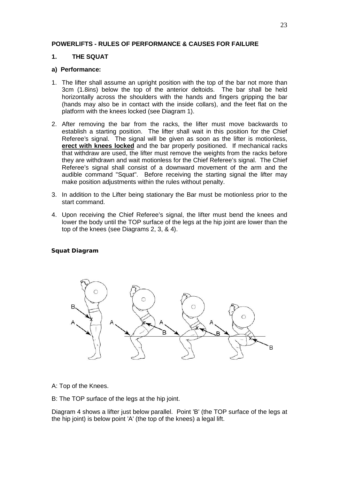# **POWERLIFTS - RULES OF PERFORMANCE & CAUSES FOR FAILURE**

# **1. THE SQUAT**

## **a) Performance:**

- 1. The lifter shall assume an upright position with the top of the bar not more than 3cm (1.8ins) below the top of the anterior deltoids. The bar shall be held horizontally across the shoulders with the hands and fingers gripping the bar (hands may also be in contact with the inside collars), and the feet flat on the platform with the knees locked (see Diagram 1).
- 2. After removing the bar from the racks, the lifter must move backwards to establish a starting position. The lifter shall wait in this position for the Chief Referee's signal. The signal will be given as soon as the lifter is motionless, **erect with knees locked** and the bar properly positioned. If mechanical racks that withdraw are used, the lifter must remove the weights from the racks before they are withdrawn and wait motionless for the Chief Referee's signal. The Chief Referee's signal shall consist of a downward movement of the arm and the audible command "Squat". Before receiving the starting signal the lifter may make position adjustments within the rules without penalty.
- 3. In addition to the Lifter being stationary the Bar must be motionless prior to the start command.
- 4. Upon receiving the Chief Referee's signal, the lifter must bend the knees and lower the body until the TOP surface of the legs at the hip joint are lower than the top of the knees (see Diagrams 2, 3, & 4).

**Squat Diagram**



- A: Top of the Knees.
- B: The TOP surface of the legs at the hip joint.

Diagram 4 shows a lifter just below parallel. Point 'B' (the TOP surface of the legs at the hip joint) is below point 'A' (the top of the knees) a legal lift.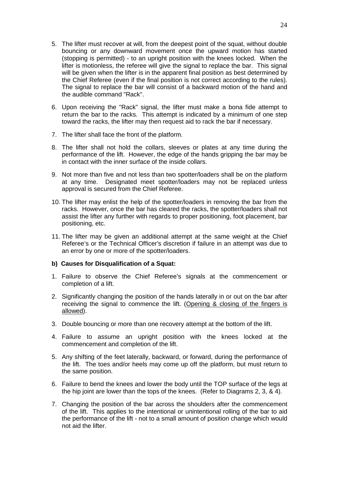- 5. The lifter must recover at will, from the deepest point of the squat, without double bouncing or any downward movement once the upward motion has started (stopping is permitted) - to an upright position with the knees locked. When the lifter is motionless, the referee will give the signal to replace the bar. This signal will be given when the lifter is in the apparent final position as best determined by the Chief Referee (even if the final position is not correct according to the rules). The signal to replace the bar will consist of a backward motion of the hand and the audible command "Rack".
- 6. Upon receiving the "Rack" signal, the lifter must make a bona fide attempt to return the bar to the racks. This attempt is indicated by a minimum of one step toward the racks, the lifter may then request aid to rack the bar if necessary.
- 7. The lifter shall face the front of the platform.
- 8. The lifter shall not hold the collars, sleeves or plates at any time during the performance of the lift. However, the edge of the hands gripping the bar may be in contact with the inner surface of the inside collars.
- 9. Not more than five and not less than two spotter/loaders shall be on the platform at any time. Designated meet spotter/loaders may not be replaced unless approval is secured from the Chief Referee.
- 10. The lifter may enlist the help of the spotter/loaders in removing the bar from the racks. However, once the bar has cleared the racks, the spotter/loaders shall not assist the lifter any further with regards to proper positioning, foot placement, bar positioning, etc.
- 11. The lifter may be given an additional attempt at the same weight at the Chief Referee's or the Technical Officer's discretion if failure in an attempt was due to an error by one or more of the spotter/loaders.

# **b) Causes for Disqualification of a Squat:**

- 1. Failure to observe the Chief Referee's signals at the commencement or completion of a lift.
- 2. Significantly changing the position of the hands laterally in or out on the bar after receiving the signal to commence the lift. (Opening & closing of the fingers is allowed).
- 3. Double bouncing or more than one recovery attempt at the bottom of the lift.
- 4. Failure to assume an upright position with the knees locked at the commencement and completion of the lift.
- 5. Any shifting of the feet laterally, backward, or forward, during the performance of the lift. The toes and/or heels may come up off the platform, but must return to the same position.
- 6. Failure to bend the knees and lower the body until the TOP surface of the legs at the hip joint are lower than the tops of the knees. (Refer to Diagrams 2, 3, & 4).
- 7. Changing the position of the bar across the shoulders after the commencement of the lift. This applies to the intentional or unintentional rolling of the bar to aid the performance of the lift - not to a small amount of position change which would not aid the lifter.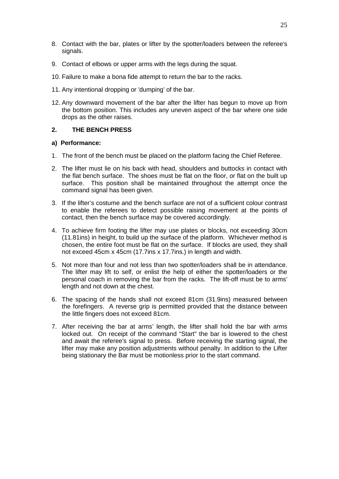- 8. Contact with the bar, plates or lifter by the spotter/loaders between the referee's signals.
- 9. Contact of elbows or upper arms with the legs during the squat.
- 10. Failure to make a bona fide attempt to return the bar to the racks.
- 11. Any intentional dropping or 'dumping' of the bar.
- 12. Any downward movement of the bar after the lifter has begun to move up from the bottom position. This includes any uneven aspect of the bar where one side drops as the other raises.

## **2. THE BENCH PRESS**

#### **a) Performance:**

- 1. The front of the bench must be placed on the platform facing the Chief Referee.
- 2. The lifter must lie on his back with head, shoulders and buttocks in contact with the flat bench surface. The shoes must be flat on the floor, or flat on the built up surface. This position shall be maintained throughout the attempt once the command signal has been given.
- 3. If the lifter's costume and the bench surface are not of a sufficient colour contrast to enable the referees to detect possible raising movement at the points of contact, then the bench surface may be covered accordingly.
- 4. To achieve firm footing the lifter may use plates or blocks, not exceeding 30cm (11.81ins) in height, to build up the surface of the platform. Whichever method is chosen, the entire foot must be flat on the surface. If blocks are used, they shall not exceed 45cm x 45cm (17.7ins x 17.7ins.) in length and width.
- 5. Not more than four and not less than two spotter/loaders shall be in attendance. The lifter may lift to self, or enlist the help of either the spotter/loaders or the personal coach in removing the bar from the racks. The lift-off must be to arms' length and not down at the chest.
- 6. The spacing of the hands shall not exceed 81cm (31.9ins) measured between the forefingers. A reverse grip is permitted provided that the distance between the little fingers does not exceed 81cm.
- 7. After receiving the bar at arms' length, the lifter shall hold the bar with arms locked out. On receipt of the command "Start" the bar is lowered to the chest and await the referee's signal to press. Before receiving the starting signal, the lifter may make any position adjustments without penalty. In addition to the Lifter being stationary the Bar must be motionless prior to the start command.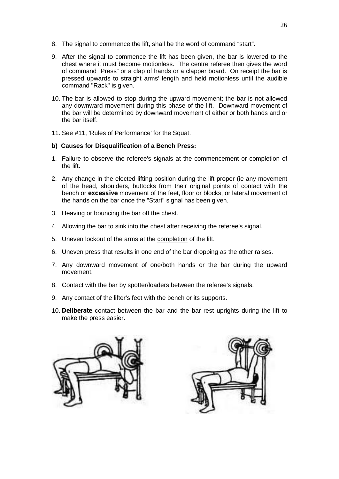- 8. The signal to commence the lift, shall be the word of command "start".
- 9. After the signal to commence the lift has been given, the bar is lowered to the chest where it must become motionless. The centre referee then gives the word of command "Press" or a clap of hands or a clapper board. On receipt the bar is pressed upwards to straight arms' length and held motionless until the audible command "Rack" is given.
- 10. The bar is allowed to stop during the upward movement; the bar is not allowed any downward movement during this phase of the lift. Downward movement of the bar will be determined by downward movement of either or both hands and or the bar itself.
- 11. See #11, 'Rules of Performance' for the Squat.

## **b) Causes for Disqualification of a Bench Press:**

- 1. Failure to observe the referee's signals at the commencement or completion of the lift.
- 2. Any change in the elected lifting position during the lift proper (ie any movement of the head, shoulders, buttocks from their original points of contact with the bench or *excessive* movement of the feet, floor or blocks, or lateral movement of the hands on the bar once the "Start" signal has been given.
- 3. Heaving or bouncing the bar off the chest.
- 4. Allowing the bar to sink into the chest after receiving the referee's signal.
- 5. Uneven lockout of the arms at the completion of the lift.
- 6. Uneven press that results in one end of the bar dropping as the other raises.
- 7. Any downward movement of one/both hands or the bar during the upward movement.
- 8. Contact with the bar by spotter/loaders between the referee's signals.
- 9. Any contact of the lifter's feet with the bench or its supports.
- 10. *Deliberate* contact between the bar and the bar rest uprights during the lift to make the press easier.



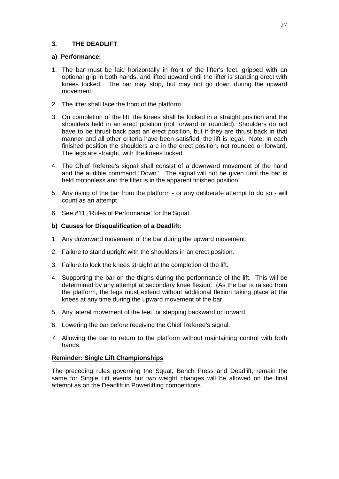# **3. THE DEADLIFT**

## **a) Performance:**

- 1. The bar must be laid horizontally in front of the lifter's feet, gripped with an optional grip in both hands, and lifted upward until the lifter is standing erect with knees locked. The bar may stop, but may not go down during the upward movement.
- 2. The lifter shall face the front of the platform.
- 3. On completion of the lift, the knees shall be locked in a straight position and the shoulders held in an erect position (not forward or rounded). Shoulders do not have to be thrust back past an erect position, but if they are thrust back in that manner and all other criteria have been satisfied, the lift is legal. Note: In each finished position the shoulders are in the erect position, not rounded or forward. The legs are straight, with the knees locked.
- 4. The Chief Referee's signal shall consist of a downward movement of the hand and the audible command "Down". The signal will not be given until the bar is held motionless and the lifter is in the apparent finished position.
- 5. Any rising of the bar from the platform or any deliberate attempt to do so will count as an attempt.
- 6. See #11, 'Rules of Performance' for the Squat.

# **b) Causes for Disqualification of a Deadlift:**

- 1. Any downward movement of the bar during the upward movement.
- 2. Failure to stand upright with the shoulders in an erect position.
- 3. Failure to lock the knees straight at the completion of the lift.
- 4. Supporting the bar on the thighs during the performance of the lift. This will be determined by any attempt at secondary knee flexion. (As the bar is raised from the platform, the legs must extend without additional flexion taking place at the knees at any time during the upward movement of the bar.
- 5. Any lateral movement of the feet, or stepping backward or forward.
- 6. Lowering the bar before receiving the Chief Referee's signal.
- 7. Allowing the bar to return to the platform without maintaining control with both hands.

# **Reminder: Single Lift Championships**

The preceding rules governing the Squat, Bench Press and Deadlift, remain the same for Single Lift events but two weight changes will be allowed on the final attempt as on the Deadlift in Powerlifting competitions.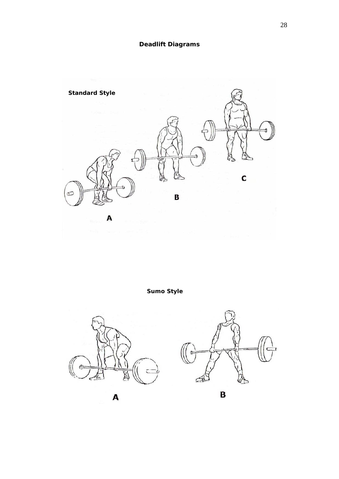

**Sumo Style**







28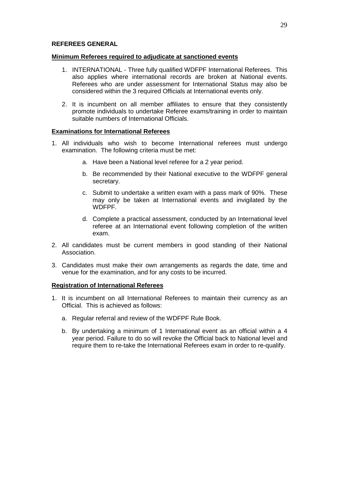## **REFEREES GENERAL**

## **Minimum Referees required to adjudicate at sanctioned events**

- 1. INTERNATIONAL Three fully qualified WDFPF International Referees. This also applies where international records are broken at National events. Referees who are under assessment for International Status may also be considered within the 3 required Officials at International events only.
- 2. It is incumbent on all member affiliates to ensure that they consistently promote individuals to undertake Referee exams/training in order to maintain suitable numbers of International Officials.

# **Examinations for International Referees**

- 1. All individuals who wish to become International referees must undergo examination. The following criteria must be met:
	- a. Have been a National level referee for a 2 year period.
	- b. Be recommended by their National executive to the WDFPF general secretary.
	- c. Submit to undertake a written exam with a pass mark of 90%. These may only be taken at International events and invigilated by the WDFPF.
	- d. Complete a practical assessment, conducted by an International level referee at an International event following completion of the written exam.
- 2. All candidates must be current members in good standing of their National Association.
- 3. Candidates must make their own arrangements as regards the date, time and venue for the examination, and for any costs to be incurred.

# **Registration of International Referees**

- 1. It is incumbent on all International Referees to maintain their currency as an Official. This is achieved as follows:
	- a. Regular referral and review of the WDFPF Rule Book.
	- b. By undertaking a minimum of 1 International event as an official within a 4 year period. Failure to do so will revoke the Official back to National level and require them to re-take the International Referees exam in order to re-qualify.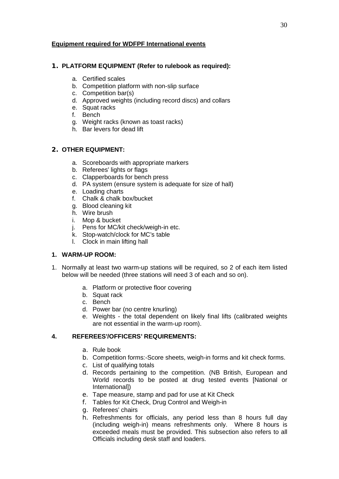# **Equipment required for WDFPF International events**

# **1. PLATFORM EQUIPMENT (Refer to rulebook as required):**

- a. Certified scales
- b. Competition platform with non-slip surface
- c. Competition bar(s)
- d. Approved weights (including record discs) and collars
- e. Squat racks
- f. Bench
- g. Weight racks (known as toast racks)
- h. Bar levers for dead lift

# **2. OTHER EQUIPMENT:**

- a. Scoreboards with appropriate markers
- b. Referees' lights or flags
- c. Clapperboards for bench press
- d. PA system (ensure system is adequate for size of hall)
- e. Loading charts
- f. Chalk & chalk box/bucket
- g. Blood cleaning kit
- h. Wire brush
- i. Mop & bucket
- j. Pens for MC/kit check/weigh-in etc.
- k. Stop-watch/clock for MC's table
- l. Clock in main lifting hall

# **1. WARM-UP ROOM:**

- 1. Normally at least two warm-up stations will be required, so 2 of each item listed below will be needed (three stations will need 3 of each and so on).
	- a. Platform or protective floor covering
	- b. Squat rack
	- c. Bench
	- d. Power bar (no centre knurling)
	- e. Weights the total dependent on likely final lifts (calibrated weights are not essential in the warm-up room).

# **4. REFEREES'/OFFICERS' REQUIREMENTS:**

- a. Rule book
- b. Competition forms:-Score sheets, weigh-in forms and kit check forms.
- c. List of qualifying totals
- d. Records pertaining to the competition. (NB British, European and World records to be posted at drug tested events [National or International])
- e. Tape measure, stamp and pad for use at Kit Check
- f. Tables for Kit Check, Drug Control and Weigh-in
- g. Referees' chairs
- h. Refreshments for officials, any period less than 8 hours full day (including weigh-in) means refreshments only. Where 8 hours is exceeded meals must be provided. This subsection also refers to all Officials including desk staff and loaders.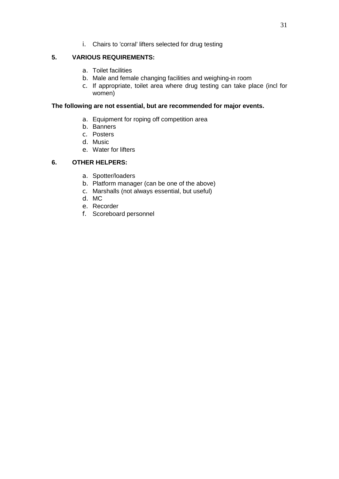i. Chairs to 'corral' lifters selected for drug testing

# **5. VARIOUS REQUIREMENTS:**

- a. Toilet facilities
- b. Male and female changing facilities and weighing-in room
- c. If appropriate, toilet area where drug testing can take place (incl for women)

## **The following are not essential, but are recommended for major events.**

- a. Equipment for roping off competition area
- b. Banners
- c. Posters
- d. Music
- e. Water for lifters

## **6. OTHER HELPERS:**

- a. Spotter/loaders
- b. Platform manager (can be one of the above)
- c. Marshalls (not always essential, but useful)
- d. MC
- e. Recorder
- f. Scoreboard personnel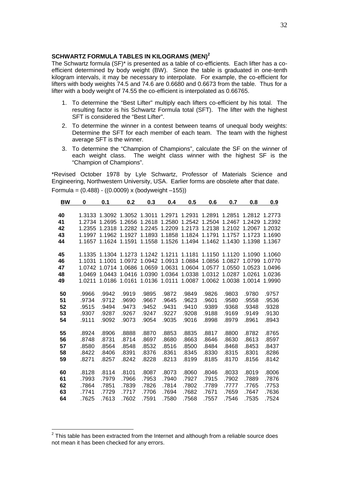#### **SCHWARTZ FORMULA TABLES IN KILOGRAMS (MEN)<sup>2</sup>**

The Schwartz formula (SF)\* is presented as a table of co-efficients. Each lifter has a co efficient determined by body weight (BW). Since the table is graduated in one-tenth kilogram intervals, it may be necessary to interpolate. For example, the co-efficient for lifters with body weights 74.5 and 74.6 are 0.6680 and 0.6673 from the table. Thus for a lifter with a body weight of 74.55 the co-efficient is interpolated as 0.66765.

- 1. To determine the "Best Lifter" multiply each lifters co-efficient by his total. The resulting factor is his Schwartz Formula total (SFT). The lifter with the highest SFT is considered the "Best Lifter".
- 2. To determine the winner in a contest between teams of unequal body weights: Determine the SFT for each member of each team. The team with the highest average SFT is the winner.
- 3. To determine the "Champion of Champions", calculate the SF on the winner of each weight class. The weight class winner with the highest SF is the "Champion of Champions".

\*Revised October 1978 by Lyle Schwartz, Professor of Materials Science and Engineering, Northwestern University, USA. Earlier forms are obsolete after that date. Formula = (0.488) - ((0.0009) x (bodyweight –155))

| <b>BW</b> | 0     | 0.1   | 0.2   | 0.3                                                                            | 0.4   | 0.5   | 0.6   | 0.7   | 0.8   | <u>0.9</u> |
|-----------|-------|-------|-------|--------------------------------------------------------------------------------|-------|-------|-------|-------|-------|------------|
|           |       |       |       |                                                                                |       |       |       |       |       |            |
| 40        |       |       |       | 1.3133 1.3092 1.3052 1.3011 1.2971 1.2931 1.2891 1.2851 1.2812 1.2773          |       |       |       |       |       |            |
| 41        |       |       |       | 1.2734 1.2695 1.2656 1.2618 1.2580 1.2542 1.2504 1.2467 1.2429 1.2392          |       |       |       |       |       |            |
| 42        |       |       |       | 1.2355 1.2318 1.2282 1.2245 1.2209 1.2173 1.2138 1.2102 1.2067 1.2032          |       |       |       |       |       |            |
| 43        |       |       |       | 1.1997 1.1962 1.1927 1.1893 1.1858 1.1824 1.1791 1.1757 1.1723 1.1690          |       |       |       |       |       |            |
| 44        |       |       |       | 1.1657 1.1624 1.1591 1.1558 1.1526 1.1494 1.1462 1.1430 1.1398 1.1367          |       |       |       |       |       |            |
|           |       |       |       |                                                                                |       |       |       |       |       |            |
| 45        |       |       |       | 1.1335 1.1304 1.1273 1.1242 1.1211 1.1181 1.1150 1.1120 1.1090 1.1060          |       |       |       |       |       |            |
| 46        |       |       |       | 1.1031 1.1001 1.0972 1.0942 1.0913 1.0884 1.0856 1.0827 1.0799 1.0770          |       |       |       |       |       |            |
| 47        |       |       |       | 1.0742 1.0714 1.0686 1.0659 1.0631 1.0604 1.0577 1.0550 1.0523 1.0496          |       |       |       |       |       |            |
| 48        |       |       |       | 1.0469  1.0443  1.0416  1.0390  1.0364  1.0338  1.0312  1.0287  1.0261  1.0236 |       |       |       |       |       |            |
| 49        |       |       |       | 1.0211 1.0186 1.0161 1.0136 1.0111 1.0087 1.0062 1.0038 1.0014 1.9990          |       |       |       |       |       |            |
|           |       |       |       |                                                                                |       |       |       |       |       |            |
| 50        | .9966 | .9942 | .9919 | .9895                                                                          | .9872 | .9849 | .9826 | .9803 | .9780 | .9757      |
| 51        | .9734 | .9712 | .9690 | .9667                                                                          | .9645 | .9623 | .9601 | .9580 | .9558 | .9536      |
| 52        | .9515 | .9494 | .9473 | .9452                                                                          | .9431 | .9410 | .9389 | .9368 | .9348 | .9328      |
| 53        | .9307 | .9287 | .9267 | .9247                                                                          | .9227 | .9208 | .9188 | .9169 | .9149 | .9130      |
| 54        | .9111 | .9092 | .9073 | .9054                                                                          | .9035 | .9016 | .8998 | .8979 | .8961 | .8943      |
|           |       |       |       |                                                                                |       |       |       |       |       |            |
| 55        | .8924 | .8906 | .8888 | .8870                                                                          | .8853 | .8835 | .8817 | .8800 | .8782 | .8765      |
| 56        | .8748 | .8731 | .8714 | .8697                                                                          | .8680 | .8663 | .8646 | .8630 | .8613 | .8597      |
| 57        | .8580 | .8564 | .8548 | .8532                                                                          | .8516 | .8500 | .8484 | .8468 | .8453 | .8437      |
| 58        | .8422 | .8406 | .8391 | .8376                                                                          | .8361 | .8345 | .8330 | .8315 | .8301 | .8286      |
| 59        | .8271 | .8257 | .8242 | .8228                                                                          | .8213 | .8199 | .8185 | .8170 | .8156 | .8142      |
|           |       |       |       |                                                                                |       |       |       |       |       |            |
| 60        | .8128 | .8114 | .8101 | .8087                                                                          | .8073 | .8060 | .8046 | .8033 | .8019 | .8006      |
| 61        | .7993 | .7979 | .7966 | .7953                                                                          | .7940 | .7927 | .7915 | .7902 | .7889 | .7876      |
| 62        | .7864 | .7851 | .7839 | .7826                                                                          | .7814 | .7802 | .7789 | .7777 | .7765 | .7753      |
| 63        | .7741 | .7729 | .7717 | .7706                                                                          | .7694 | .7682 | .7671 | .7659 | .7647 | .7636      |
| 64        | .7625 | .7613 | .7602 | .7591                                                                          | .7580 | .7568 | .7557 | .7546 | .7535 | .7524      |

 $2$  This table has been extracted from the Internet and although from a reliable source does not mean it has been checked for any errors.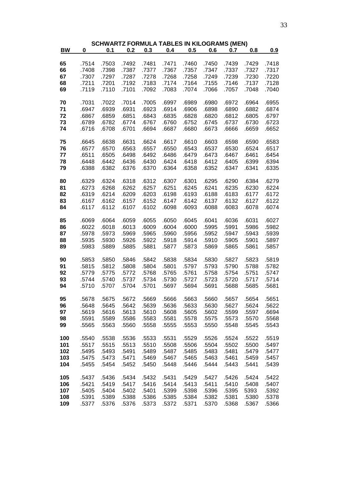|           |           |       |       |       |       | <b>SCHWARTZ FORMULA TABLES IN KILOGRAMS (MEN)</b> |       |       |       |       |
|-----------|-----------|-------|-------|-------|-------|---------------------------------------------------|-------|-------|-------|-------|
| <b>BW</b> | $\pmb{0}$ | 0.1   | 0.2   | 0.3   | 0.4   | 0.5                                               | 0.6   | 0.7   | 0.8   | 0.9   |
|           |           |       |       |       |       |                                                   |       |       |       |       |
| 65        | .7514     | .7503 | .7492 | .7481 | .7471 | .7460                                             | .7450 | .7439 | .7429 | .7418 |
| 66        | .7408     | .7398 | .7387 | .7377 | .7367 | .7357                                             | .7347 | .7337 | .7327 | .7317 |
| 67        | .7307     | .7297 | .7287 | .7278 | .7268 | .7258                                             | .7249 | .7239 | .7230 | .7220 |
| 68        | .7211     | .7201 | .7192 | .7183 | .7174 | .7164                                             | .7155 | .7146 | .7137 | .7128 |
| 69        | .7119     | .7110 | .7101 | .7092 | .7083 | .7074                                             | .7066 | .7057 | .7048 | .7040 |
| 70        | .7031     | .7022 | .7014 | .7005 | .6997 | .6989                                             | .6980 | .6972 | .6964 | .6955 |
| 71        | .6947     | .6939 | .6931 | .6923 | .6914 | .6906                                             | .6898 | .6890 | .6882 | .6874 |
| 72        | .6867     | .6859 | .6851 | .6843 | .6835 | .6828                                             | .6820 | .6812 | .6805 | .6797 |
| 73        | .6789     | .6782 | .6774 | .6767 | .6760 | .6752                                             | .6745 | .6737 | .6730 | .6723 |
| 74        | .6716     | .6708 | .6701 | .6694 | .6687 | .6680                                             | .6673 | .6666 | .6659 | .6652 |
|           |           |       |       |       |       |                                                   |       |       |       |       |
| 75        | .6645     | .6638 | .6631 | .6624 | .6617 | .6610                                             | .6603 | .6598 | .6590 | .6583 |
| 76        | .6577     | .6570 | .6563 | .6557 | .6550 | .6543                                             | .6537 | .6530 | .6524 | .6517 |
| 77        | .6511     | .6505 | .6498 | .6492 | .6486 | .6479                                             | .6473 | .6467 | .6461 | .6454 |
| 78        | .6448     | .6442 | .6436 | .6430 | .6424 | .6418                                             | .6412 | .6405 | .6399 | .6394 |
| 79        | .6388     | .6382 | .6376 | .6370 | .6364 | .6358                                             | .6352 | .6347 | .6341 | .6335 |
|           |           |       |       |       |       |                                                   |       |       |       |       |
| 80        | .6329     | .6324 | .6318 | .6312 | .6307 | .6301                                             | .6295 | .6290 | .6384 | .6279 |
| 81        | .6273     | .6268 | .6262 | .6257 | .6251 | .6245                                             | .6241 | .6235 | .6230 | .6224 |
| 82        | .6319     | .6214 | .6209 | .6203 | .6198 | .6193                                             | .6188 | .6183 | .6177 | .6172 |
| 83        | .6167     | .6162 | .6157 | .6152 | .6147 | .6142                                             | .6137 | .6132 | .6127 | .6122 |
| 84        | .6117     | .6112 | .6107 | .6102 | .6098 | .6093                                             | .6088 | .6083 | .6078 | .6074 |
| 85        | .6069     | .6064 | .6059 | .6055 | .6050 | .6045                                             | .6041 | .6036 | .6031 | .6027 |
| 86        | .6022     | .6018 | .6013 | .6009 | .6004 | .6000                                             | .5995 | .5991 | .5986 | .5982 |
| 87        | .5978     | .5973 | .5969 | .5965 | .5960 | .5956                                             | .5952 | .5947 | .5943 | .5939 |
| 88        | .5935     | .5930 | .5926 | .5922 | .5918 | .5914                                             | .5910 | .5905 | .5901 | .5897 |
| 89        | .5983     | .5889 | .5885 | .5881 | .5877 | .5873                                             | .5869 | .5865 | .5861 | .5857 |
|           |           |       |       |       |       |                                                   |       |       |       |       |
| 90        | .5853     | .5850 | .5846 | .5842 | .5838 | .5834                                             | .5830 | .5827 | .5823 | .5819 |
| 91        | .5815     | .5812 | .5808 | .5804 | .5801 | .5797                                             | .5793 | .5790 | .5788 | .5782 |
| 92        | .5779     | .5775 | .5772 | .5768 | .5765 | .5761                                             | .5758 | .5754 | .5751 | .5747 |
| 93        | .5744     | .5740 | .5737 | .5734 | .5730 | .5727                                             | .5723 | .5720 | .5717 | .5714 |
| 94        | .5710     | .5707 | .5704 | .5701 | .5697 | .5694                                             | .5691 | .5688 | .5685 | .5681 |
| 95        | .5678     |       |       | .5669 | .5666 | .5663                                             | .5660 | .5657 | .5654 | .5651 |
|           |           | .5675 | .5672 |       |       |                                                   |       |       |       |       |
| 96        | .5648     | .5645 | .5642 | .5639 | .5636 | .5633                                             | .5630 | .5627 | .5624 | .5622 |
| 97        | .5619     | .5616 | .5613 | .5610 | .5608 | .5605                                             | .5602 | .5599 | .5597 | .6694 |
| 98        | .5591     | .5589 | .5586 | .5583 | .5581 | .5578                                             | .5575 | .5573 | .5570 | .5568 |
| 99        | .5565     | .5563 | .5560 | .5558 | .5555 | .5553                                             | .5550 | .5548 | .5545 | .5543 |
| 100       | .5540     | .5538 | .5536 | .5533 | .5531 | .5529                                             | .5526 | .5524 | .5522 | .5519 |
| 101       | .5517     | .5515 | .5513 | .5510 | .5508 | .5506                                             | .5504 | .5502 | .5500 | .5497 |
| 102       | .5495     | .5493 | .5491 | .5489 | .5487 | .5485                                             | .5483 | .5481 | .5479 | .5477 |
| 103       | .5475     | .5473 | .5471 | .5469 | .5467 | .5465                                             | .5463 | .5461 | .5459 | .5457 |
| 104       | .5455     | .5454 | .5452 | .5450 | .5448 | .5446                                             | .5444 | .5443 | .5441 | .5439 |
|           |           |       |       |       |       |                                                   |       |       |       |       |
| 105       | .5437     | .5436 | .5434 | .5432 | .5431 | .5429                                             | .5427 | .5426 | .5424 | .5422 |
| 106       | .5421     | .5419 | .5417 | .5416 | .5414 | .5413                                             | .5411 | .5410 | .5408 | .5407 |
| 107       | .5405     | .5404 | .5402 | .5401 | .5399 | .5398                                             | .5396 | .5395 | 5393  | .5392 |
| 108       | .5391     | .5389 | .5388 | .5386 | .5385 | .5384                                             | .5382 | .5381 | .5380 | .5378 |
| 109       | .5377     | .5376 | .5376 | .5373 | .5372 | .5371                                             | .5370 | .5368 | .5367 | .5366 |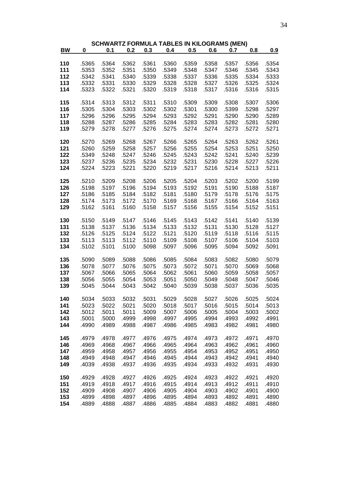|             |       |                |                |                | <b>SCHWARTZ FORMULA TABLES IN KILOGRAMS (MEN)</b> |                |                |       |       |                |
|-------------|-------|----------------|----------------|----------------|---------------------------------------------------|----------------|----------------|-------|-------|----------------|
| $B_{\rm W}$ | 0     | 0.1            | 0.2            | 0.3            | 0.4                                               | 0.5            | 0.6            | 0.7   | 0.8   | 0.9            |
|             |       |                |                |                |                                                   |                |                |       |       |                |
| 110         | .5365 | .5364          | .5362          | .5361          | .5360                                             | .5359          | .5358          | .5357 | .5356 | .5354          |
| 111         | .5353 | .5352          | .5351          | .5350          | .5349                                             | .5348          | .5347          | .5346 | .5345 | .5343          |
| 112         | .5342 | .5341          | .5340          | .5339          | .5338                                             | .5337          | .5336          | .5335 | .5334 | .5333          |
| 113         | .5332 | .5331          | .5330          | .5329          | .5328                                             | .5328          | .5327          | .5326 | .5325 | .5324          |
| 114         | .5323 | .5322          | .5321          | .5320          | .5319                                             | .5318          | .5317          | .5316 | .5316 | .5315          |
| 115         | .5314 | .5313          | .5312          | .5311          | .5310                                             | .5309          | .5309          | .5308 | .5307 | .5306          |
| 116         | .5305 | .5304          | .5303          | .5302          | .5302                                             | .5301          | .5300          | .5399 | .5298 | .5297          |
| 117         | .5296 | .5296          | .5295          | .5294          | .5293                                             | .5292          | .5291          | .5290 | .5290 | .5289          |
| 118         | .5288 | .5287          | .5286          | .5285          | .5284                                             | .5283          | .5283          | .5282 | .5281 | .5280          |
| 119         | .5279 | .5278          | .5277          | .5276          | .5275                                             | .5274          | .5274          | .5273 | .5272 | .5271          |
|             |       |                |                |                |                                                   |                |                |       |       |                |
| 120         | .5270 | .5269          | .5268          | .5267          | .5266                                             | .5265          | .5264          | .5263 | .5262 | .5261          |
| 121         | .5260 | .5259          | .5258          | .5257          | .5256                                             | .5255          | .5254          | .5253 | .5251 | .5250          |
| 122         | .5349 | .5248          | .5247          | .5246          | .5245                                             | .5243          | .5242          | .5241 | .5240 | .5239          |
| 123         | .5237 | .5236          | .5235          | .5234          | .5232                                             | .5231          | .5230          | .5228 | .5227 | .5226          |
| 124         | .5224 | .5223          | .5221          | .5220          | .5219                                             | .5217          | .5216          | .5214 | .5213 | .5211          |
|             |       |                |                |                |                                                   |                |                |       |       |                |
| 125         | .5210 | .5209          | .5208          | .5206          | .5205                                             | .5204          | .5203          | .5202 | .5200 | .5199          |
| 126         | .5198 | .5197          | .5196          | .5194          | .5193                                             | .5192          | .5191          | .5190 | .5188 | .5187          |
| 127         | .5186 | .5185          | .5184          | .5182          | .5181                                             | .5180          | .5179          | .5178 | .5176 | .5175          |
| 128         | .5174 | .5173          | .5172          | .5170          | .5169                                             | .5168          | .5167          | .5166 | .5164 | .5163          |
| 129         | .5162 | .5161          | .5160          | .5158          | .5157                                             | .5156          | .5155          | .5154 | .5152 | .5151          |
| 130         | .5150 | .5149          | .5147          | .5146          | .5145                                             | .5143          | .5142          | .5141 | .5140 | .5139          |
| 131         | .5138 | .5137          | .5136          | .5134          | .5133                                             | .5132          | .5131          | .5130 | .5128 | .5127          |
| 132         |       |                |                |                |                                                   |                |                |       |       |                |
| 133         | .5126 | .5125<br>.5113 | .5124<br>.5112 | .5122<br>.5110 | .5121<br>.5109                                    | .5120<br>.5108 | .5119<br>.5107 | .5118 | .5116 | .5115<br>.5103 |
|             | .5113 |                |                |                |                                                   |                |                | .5106 | .5104 |                |
| 134         | .5102 | .5101          | .5100          | .5098          | .5097                                             | .5096          | .5095          | .5094 | .5092 | .5091          |
| 135         | .5090 | .5089          | .5088          | .5086          | .5085                                             | .5084          | .5083          | .5082 | .5080 | .5079          |
| 136         | .5078 | .5077          | .5076          | .5075          | .5073                                             | .5072          | .5071          | .5070 | .5069 | .5068          |
| 137         | .5067 | .5066          | .5065          | .5064          | .5062                                             | .5061          | .5060          | .5059 | .5058 | .5057          |
| 138         | .5056 | .5055          | .5054          | .5053          | .5051                                             | .5050          | .5049          | .5048 | .5047 | .5046          |
| 139         | .5045 | .5044          | .5043          | .5042          | .5040                                             | .5039          | .5038          | .5037 | .5036 | .5035          |
|             |       |                |                |                |                                                   |                |                |       |       |                |
| 140         | .5034 | .5033          | .5032          | .5031          | .5029                                             | .5028          | .5027          | .5026 | .5025 | .5024          |
| 141         | .5023 | .5022          | .5021          | .5020          | .5018                                             | .5017          | .5016          | .5015 | .5014 | .5013          |
| 142         | .5012 | .5011          | .5011          | .5009          | .5007                                             | .5006          | .5005          | .5004 | .5003 | .5002          |
| 143         | .5001 | .5000          | .4999          | .4998          | .4997                                             | .4995          | .4994          | .4993 | .4992 | .4991          |
| 144         | .4990 | .4989          | .4988          | .4987          | .4986                                             | .4985          | .4983          | .4982 | .4981 | .4980          |
| 145         | .4979 | .4978          | .4977          | .4976          | .4975                                             | .4974          | .4973          | .4972 | .4971 | .4970          |
| 146         | .4969 | .4968          | .4967          | .4966          | .4965                                             | .4964          | .4963          | .4962 | ,4961 | .4960          |
| 147         | .4959 | .4958          | .4957          | .4956          | .4955                                             | .4954          | .4953          | .4952 | .4951 | .4950          |
| 148         | .4949 | .4948          | .4947          | .4946          | .4945                                             | .4944          | .4943          | .4942 | .4941 | .4940          |
| 149         | .4039 | .4938          | .4937          | .4936          | .4935                                             | .4934          | .4933          | .4932 | .4931 | .4930          |
|             |       |                |                |                |                                                   |                |                |       |       |                |
| 150         | .4929 | .4928          | .4927          | .4926          | .4925                                             | .4924          | .4923          | .4922 | .4921 | .4920          |
| 151         | .4919 | .4918          | .4917          | .4916          | .4915                                             | .4914          | .4913          | .4912 | .4911 | .4910          |
| 152         | .4909 | .4908          | .4907          | .4906          | .4905                                             | .4904          | .4903          | .4902 | .4901 | .4900          |
| 153         | .4899 | .4898          | .4897          | .4896          | .4895                                             | .4894          | .4893          | .4892 | .4891 | .4890          |
| 154         | .4889 | .4888          | .4887          | .4886          | .4885                                             | .4884          | .4883          | .4882 | .4881 | .4880          |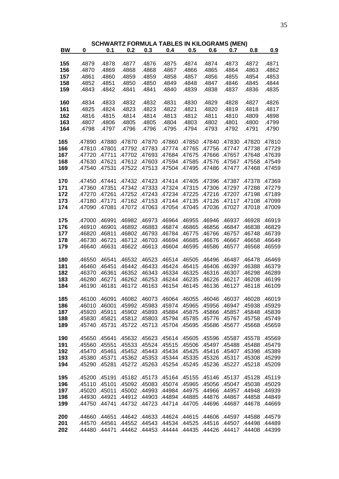|           |       |       | <b>SCHWARTZ FORMULA TABLES IN KILOGRAMS (MEN)</b>                            |       |       |       |       |       |       |       |
|-----------|-------|-------|------------------------------------------------------------------------------|-------|-------|-------|-------|-------|-------|-------|
| <b>BW</b> | 0     | 0.1   | $0.2$ $0.3$ $0.4$                                                            |       |       | 0.5   | 0.6   | 0.7   | 0.8   | 0.9   |
|           |       |       |                                                                              |       |       |       |       |       |       |       |
| 155       | .4879 | .4878 | .4877                                                                        | .4876 | .4875 | .4874 | .4874 | .4873 | .4872 | .4871 |
| 156       | .4870 | .4869 | .4868                                                                        | .4868 | .4867 | .4866 | .4865 | .4864 | .4863 | .4862 |
| 157       | .4861 | .4860 | .4859                                                                        | .4859 | .4858 | .4857 | .4856 | .4855 | .4854 | .4853 |
| 158       | .4852 | .4851 | .4850                                                                        | .4850 | .4849 | .4848 | .4847 | .4846 | .4845 | .4844 |
| 159       | .4843 | .4842 | .4841                                                                        | .4841 | .4840 | .4839 | .4838 | .4837 | .4836 | .4835 |
| 160       | .4834 | .4833 | .4832                                                                        | .4832 | .4831 | .4830 | .4829 | .4828 | .4827 | .4826 |
| 161       | .4825 | .4824 | .4823                                                                        | .4823 | .4822 | .4821 | .4820 | .4819 | .4818 | .4817 |
| 162       | .4816 | .4815 | .4814                                                                        | .4814 | .4813 | .4812 | .4811 | .4810 | .4809 | .4898 |
| 163       | .4807 | .4806 | .4805                                                                        | .4805 | .4804 | .4803 | .4802 | .4801 | .4800 | .4799 |
| 164       | .4798 | .4797 | .4796                                                                        | .4796 | .4795 | .4794 | .4793 | .4792 | .4791 | .4790 |
|           |       |       |                                                                              |       |       |       |       |       |       |       |
| 165       |       |       | 47810 47890 47880 47870 47860 47850 47840 47830 47890 47890.                 |       |       |       |       |       |       |       |
| 166       |       |       | 47729. 47738 47729. 47765 47765 47765. 47783 47729. 47810 47801.             |       |       |       |       |       |       |       |
| 167       |       |       | 47639 47658. 47657. 47666 47666 47675. 47694. 47702 47711. 47720 47720.      |       |       |       |       |       |       |       |
| 168       |       |       | 47549. 47567. 47567. 47576. 47585. 47594. 47603. 47612. 47630. 47630.        |       |       |       |       |       |       |       |
| 169       |       |       | 47459. 47468. 47477. 47486. 47495- 47504. 47513. 47542. 47540. 47540.        |       |       |       |       |       |       |       |
|           |       |       |                                                                              |       |       |       |       |       |       |       |
| 170       |       |       | 47369. 47378. 47378. 47396. 47405. 47414. 47423. 47432. 47450. 47450.        |       |       |       |       |       |       |       |
| 171       |       |       | 47360 47279 47306 47297 47306 47288 47279 47342 47333 47324. 47306.          |       |       |       |       |       |       |       |
| 172       |       |       | 47189. 47198. 47270. 47276. 47234. 47224. 47234. 47245. 47270. 47270.        |       |       |       |       |       |       |       |
| 173       |       |       | 47099. 47178. 47117. 47126. 47135. 47144. 47135. 47180. 47171. 47180.        |       |       |       |       |       |       |       |
| 174       |       |       | 47090 47090. 47072 47064 47045 47045 47034 47032 47090. 47090 47090          |       |       |       |       |       |       |       |
|           |       |       |                                                                              |       |       |       |       |       |       |       |
| 175       |       |       | 46919 46937 46982 46973 46964 46955 46946 46937 46928 46919.                 |       |       |       |       |       |       |       |
| 176       |       |       | 46829 46847 46892 46883 46874 46865 46856 46847 46838 46829                  |       |       |       |       |       |       |       |
| 177       |       |       | 46739 46757 46748 46766 46775 46784 46775 46766 46757 46820 46811            |       |       |       |       |       |       |       |
| 178       |       |       | 46649. 46667 46667. 4676 46685 46684 46694. 46712 46712. 46712. 46730.       |       |       |       |       |       |       |       |
| 179       |       |       | 46559 .46568 .46577 .46604 .46595 .46595 .46588 .46640 .46631 .46622 .46613. |       |       |       |       |       |       |       |
| 180       |       |       | 46469 46478 46469. 46505 46505 46504 46505 46469 46469. 46550 46469.         |       |       |       |       |       |       |       |
| 181       |       |       | 46379 46388 46379 46460 46415 46415 46406 46397 46388 46379                  |       |       |       |       |       |       |       |
| 182       |       |       | 46370 46361 46352 46343 46334 46325 46316 46307 46298 46289                  |       |       |       |       |       |       |       |
| 183       |       |       | 46280 46271 46262 46254 46244 46235 46226 46217 46208 46199                  |       |       |       |       |       |       |       |
| 184       |       |       | 46109 46118 46109 46154 46145 46145 46146 46127 46181 46109. 46190           |       |       |       |       |       |       |       |
|           |       |       |                                                                              |       |       |       |       |       |       |       |
| 185       |       |       | 46019. 46028. 46037. 46046. 46055. 46064. 46037. 46091. 46090. 46100.        |       |       |       |       |       |       |       |
| 186       |       |       | 45929. 46010 46001. 45982. 45964. 45974 45964. 45968. 46010 46001.           |       |       |       |       |       |       |       |
| 187       |       |       | 45839. 45848. 45857. 45866. 45875. 45864. 45893. 45920. 45911. 45902.        |       |       |       |       |       |       |       |
| 188       |       |       | 45749. 45767. 45767. 45767. 45785. 45794. 45794. 45802. 45821. 45830.        |       |       |       |       |       |       |       |
| 189       |       |       | 45659. 45668. 45677. 45686. 45695. 45713. 45743. 45724. 45740. 45740.        |       |       |       |       |       |       |       |
|           |       |       |                                                                              |       |       |       |       |       |       |       |
| 190       |       |       | 45569. 45578. 45587. 45596. 45604. 45614. 45614. 4562. 45641. 45639.         |       |       |       |       |       |       |       |
| 191       |       |       | 45479. 45488 45488. 45507. 45506 45515. 45514. 45533. 45551. 45560.          |       |       |       |       |       |       |       |
| 192       |       |       | 45389 45389 45470 45461. 45452 45443 45434 45433. 45461 45460. 45470.        |       |       |       |       |       |       |       |
| 193       |       |       | .45380 .45371 .45362 .45354 .45335 .45326 .45317 .45308 .45299               |       |       |       |       |       |       |       |
| 194       |       |       | 45209 45290 45281 45272 45263 45254 45245 45248 45290 45281 45290.           |       |       |       |       |       |       |       |
|           |       |       |                                                                              |       |       |       |       |       |       |       |
| 195       |       |       | 45119. 45128. 45137. 45146. 45156. 45164. 45173. 45164. 45190. 45200.        |       |       |       |       |       |       |       |
| 196       |       |       | 45029. 45038. 45037. 45065. 45065. 45074. 45064. 45029. 45110. 45101.        |       |       |       |       |       |       |       |
| 197       |       |       | 44939. 44948. 44957. 44966. 44975 44984. 49978. 45020. 45011. 45002.         |       |       |       |       |       |       |       |
| 198       |       |       | 44849. 44830 44921. 44903 44884 44885 44885. 44876 44867 44858. 44949.       |       |       |       |       |       |       |       |
| 199       |       |       | 44669. 44678. 44687. 44696. 44714. 44714. 44732. 44723. 44714. 45469.        |       |       |       |       |       |       |       |
| 200       |       |       | 44508 44588 44579 446015 44615 44615 44606 44588 44579 44660.                |       |       |       |       |       |       |       |
| 201       |       |       | 44589. 44548. 44507. 44561. 44535. 44544. 44543. 44552. 44561. 44560.        |       |       |       |       |       |       |       |
| 202       |       |       | .44480 .44471 .44462 .44454 .44444 .44434 .4442 .44484 .44480 .44499         |       |       |       |       |       |       |       |
|           |       |       |                                                                              |       |       |       |       |       |       |       |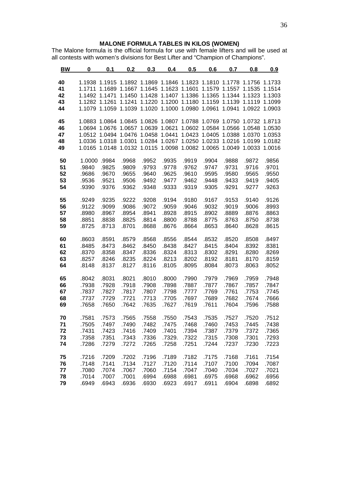#### **MALONE FORMULA TABLES IN KILOS (WOMEN)**

The Malone formula is the official formula for use with female lifters and will be used at all contests with women's divisions for Best Lifter and "Champion of Champions".

| 40<br>1.1938 1.1915 1.1892 1.1869 1.1846 1.1823 1.1810 1.1778 1.1756 1.1733<br>41<br>1.1711 1.1689 1.1667 1.1645 1.1623 1.1601 1.1579 1.1557 1.1535 1.1514<br>42<br>1.1492 1.1471 1.1450 1.1428 1.1407 1.1386 1.1365 1.1344 1.1323 1.1303<br>1.1282 1.1261 1.1241 1.1220 1.1200 1.1180 1.1159 1.1139 1.1119 1.1099<br>43<br>1.1079 1.1059 1.1039 1.1020 1.1000 1.0980 1.0961 1.0941 1.0922 1.0903<br>44<br>45<br>1.0883 1.0864 1.0845 1.0826 1.0807 1.0788 1.0769 1.0750 1.0732 1.8713<br>1.0694 1.0676 1.0657 1.0639 1.0621 1.0602 1.0584 1.0566 1.0548 1.0530<br>46<br>1.0512 1.0494 1.0476 1.0458 1.0441 1.0423 1.0405 1.0388 1.0370 1.0353<br>47<br>1.0336 1.0318 1.0301 1.0284 1.0267 1.0250 1.0233 1.0216 1.0199 1.0182<br>48<br>1.0165 1.0148 1.0132 1.0115 1.0098 1.0082 1.0065 1.0049 1.0033 1.0016<br>49<br>50<br>1.0000 .9984<br>.9968<br>.9952<br>.9935<br>.9919<br>.9904<br>.9888<br>.9872<br>.9856<br>51<br>.9825<br>.9840<br>.9809<br>.9793<br>.9778<br>.9762<br>.9747<br>.9731<br>.9716<br>.9701<br>52<br>.9686<br>.9655<br>.9670<br>.9640<br>.9625<br>.9610<br>.9595<br>.9580<br>.9565<br>.9550<br>53<br>.9536<br>.9521<br>.9506<br>.9492<br>.9477<br>.9462<br>.9448<br>.9433<br>.9419<br>.9405<br>.9362<br>54<br>.9390<br>.9376<br>.9348<br>.9333<br>.9319<br>.9305<br>.9291<br>.9277<br>.9263<br>55<br>.9249<br>.9235<br>.9222<br>.9208<br>.9194<br>.9180<br>.9167<br>.9126<br>.9153<br>.9140<br>56<br>.9122<br>.9099<br>.9086<br>.9072<br>.9059<br>.9046<br>.9032<br>.9019<br>.9006<br>.8993<br>57<br>.8980<br>.8967<br>.8954<br>.8941<br>.8928<br>.8915<br>.8902<br>.8889<br>.8876<br>.8863<br>58<br>.8851<br>.8838<br>.8825<br>.8814<br>.8800<br>.8788<br>.8775<br>.8763<br>.8750<br>.8738<br>59<br>.8725<br>.8713<br>.8701<br>.8688<br>.8676<br>.8664<br>.8653<br>.8615<br>.8640<br>.8628<br>60<br>.8603<br>.8591<br>.8579<br>.8568<br>.8556<br>.8544<br>.8532<br>.8520<br>.8508<br>.8497<br>61<br>.8485<br>.8473<br>.8462<br>.8450<br>.8438<br>.8427<br>.8415<br>.8404<br>.8392<br>.8381<br>62<br>.8370<br>.8358<br>.8347<br>.8336<br>.8324<br>.8313<br>.8302<br>.8291<br>.8280<br>.8269<br>63<br>.8235<br>.8224<br>.8213<br>.8202<br>.8257<br>.8246<br>.8192<br>.8181<br>.8170<br>.8159<br>64<br>.8148<br>.8137<br>.8127<br>.8116<br>.8105<br>.8095<br>.8084<br>.8073<br>.8063<br>.8052<br>.8000<br>65<br>.8042<br>.8031<br>.8021<br>.8010<br>.7990<br>.7979<br>.7969<br>.7959<br>.7948<br>66<br>.7938<br>.7928<br>.7918<br>.7908<br>.7898<br>.7887<br>.7877<br>.7867<br>.7857<br>.7847<br>67<br>.7807<br>.7837<br>.7827<br>.7817<br>.7798<br>.7777<br>.7769<br>.7761<br>.7753<br>.7745<br>68<br>.7737<br>.7729<br>.7721<br>.7713<br>.7705<br>.7697<br>.7689<br>.7682<br>.7674<br>.7666<br>69<br>.7650<br>.7635<br>.7627<br>.7658<br>.7642<br>.7619<br>.7611<br>.7604<br>.7596<br>.7588<br>70<br>.7581<br>.7573<br>.7565<br>.7558<br>.7550<br>.7543<br>.7535<br>.7527<br>.7520<br>.7512<br>71<br>.7490<br>.7482<br>.7475<br>.7468<br>.7460<br>.7453<br>.7438<br>.7505<br>.7497<br>.7445<br>72<br>.7431<br>.7423<br>.7409<br>.7401<br>.7394<br>.7387<br>.7379<br>.7372<br>.7365<br>.7416<br>73<br>.7358<br>.7351<br>.7343<br>.7336<br>.7329.<br>.7322<br>.7315<br>.7308<br>.7301<br>.7293<br>74<br>.7286<br>.7272<br>.7265<br>.7258<br>.7251<br>.7244<br>.7237<br>.7230<br>.7279<br>.7223<br>75<br>.7209<br>.7202<br>.7196<br>.7189<br>.7182<br>.7175<br>.7168<br>.7161<br>.7154<br>.7216<br>76<br>.7141<br>.7134<br>.7127<br>.7120<br>.7114<br>.7107<br>.7100<br>.7094<br>.7087<br>.7148<br>77<br>.7067<br>.7060<br>.7154<br>.7047<br>.7040<br>.7034<br>.7027<br>.7021<br>.7080<br>.7074<br>78<br>.7014<br>.7007<br>.7001<br>.6994<br>.6988<br>.6981<br>.6975<br>.6968<br>.6962<br>.6956<br>79<br>.6936<br>.6930<br>.6923<br>.6917<br>.6892<br>.6949<br>.6943<br>.6911<br>.6904<br>.6898 | BW | 0 | 0.1 | 0.2 | 0.3 | 0.4 | 0.5 | 0.6 | 0.7 | 0.8 | 0.9 |
|-------------------------------------------------------------------------------------------------------------------------------------------------------------------------------------------------------------------------------------------------------------------------------------------------------------------------------------------------------------------------------------------------------------------------------------------------------------------------------------------------------------------------------------------------------------------------------------------------------------------------------------------------------------------------------------------------------------------------------------------------------------------------------------------------------------------------------------------------------------------------------------------------------------------------------------------------------------------------------------------------------------------------------------------------------------------------------------------------------------------------------------------------------------------------------------------------------------------------------------------------------------------------------------------------------------------------------------------------------------------------------------------------------------------------------------------------------------------------------------------------------------------------------------------------------------------------------------------------------------------------------------------------------------------------------------------------------------------------------------------------------------------------------------------------------------------------------------------------------------------------------------------------------------------------------------------------------------------------------------------------------------------------------------------------------------------------------------------------------------------------------------------------------------------------------------------------------------------------------------------------------------------------------------------------------------------------------------------------------------------------------------------------------------------------------------------------------------------------------------------------------------------------------------------------------------------------------------------------------------------------------------------------------------------------------------------------------------------------------------------------------------------------------------------------------------------------------------------------------------------------------------------------------------------------------------------------------------------------------------------------------------------------------------------------------------------------------------------------------------------------------------------------------------------------------------------------------------------------------------------------------------------------------------------------------------------------------------------------------------------------------------------------------------------------------------------------------------------------------------------------------------------------------------------------------------------------------------------------------------------------------------------------------------------------------------------------------------------------------------------------------------------------------------------------------------------|----|---|-----|-----|-----|-----|-----|-----|-----|-----|-----|
|                                                                                                                                                                                                                                                                                                                                                                                                                                                                                                                                                                                                                                                                                                                                                                                                                                                                                                                                                                                                                                                                                                                                                                                                                                                                                                                                                                                                                                                                                                                                                                                                                                                                                                                                                                                                                                                                                                                                                                                                                                                                                                                                                                                                                                                                                                                                                                                                                                                                                                                                                                                                                                                                                                                                                                                                                                                                                                                                                                                                                                                                                                                                                                                                                                                                                                                                                                                                                                                                                                                                                                                                                                                                                                                                                                                                                   |    |   |     |     |     |     |     |     |     |     |     |
|                                                                                                                                                                                                                                                                                                                                                                                                                                                                                                                                                                                                                                                                                                                                                                                                                                                                                                                                                                                                                                                                                                                                                                                                                                                                                                                                                                                                                                                                                                                                                                                                                                                                                                                                                                                                                                                                                                                                                                                                                                                                                                                                                                                                                                                                                                                                                                                                                                                                                                                                                                                                                                                                                                                                                                                                                                                                                                                                                                                                                                                                                                                                                                                                                                                                                                                                                                                                                                                                                                                                                                                                                                                                                                                                                                                                                   |    |   |     |     |     |     |     |     |     |     |     |
|                                                                                                                                                                                                                                                                                                                                                                                                                                                                                                                                                                                                                                                                                                                                                                                                                                                                                                                                                                                                                                                                                                                                                                                                                                                                                                                                                                                                                                                                                                                                                                                                                                                                                                                                                                                                                                                                                                                                                                                                                                                                                                                                                                                                                                                                                                                                                                                                                                                                                                                                                                                                                                                                                                                                                                                                                                                                                                                                                                                                                                                                                                                                                                                                                                                                                                                                                                                                                                                                                                                                                                                                                                                                                                                                                                                                                   |    |   |     |     |     |     |     |     |     |     |     |
|                                                                                                                                                                                                                                                                                                                                                                                                                                                                                                                                                                                                                                                                                                                                                                                                                                                                                                                                                                                                                                                                                                                                                                                                                                                                                                                                                                                                                                                                                                                                                                                                                                                                                                                                                                                                                                                                                                                                                                                                                                                                                                                                                                                                                                                                                                                                                                                                                                                                                                                                                                                                                                                                                                                                                                                                                                                                                                                                                                                                                                                                                                                                                                                                                                                                                                                                                                                                                                                                                                                                                                                                                                                                                                                                                                                                                   |    |   |     |     |     |     |     |     |     |     |     |
|                                                                                                                                                                                                                                                                                                                                                                                                                                                                                                                                                                                                                                                                                                                                                                                                                                                                                                                                                                                                                                                                                                                                                                                                                                                                                                                                                                                                                                                                                                                                                                                                                                                                                                                                                                                                                                                                                                                                                                                                                                                                                                                                                                                                                                                                                                                                                                                                                                                                                                                                                                                                                                                                                                                                                                                                                                                                                                                                                                                                                                                                                                                                                                                                                                                                                                                                                                                                                                                                                                                                                                                                                                                                                                                                                                                                                   |    |   |     |     |     |     |     |     |     |     |     |
|                                                                                                                                                                                                                                                                                                                                                                                                                                                                                                                                                                                                                                                                                                                                                                                                                                                                                                                                                                                                                                                                                                                                                                                                                                                                                                                                                                                                                                                                                                                                                                                                                                                                                                                                                                                                                                                                                                                                                                                                                                                                                                                                                                                                                                                                                                                                                                                                                                                                                                                                                                                                                                                                                                                                                                                                                                                                                                                                                                                                                                                                                                                                                                                                                                                                                                                                                                                                                                                                                                                                                                                                                                                                                                                                                                                                                   |    |   |     |     |     |     |     |     |     |     |     |
|                                                                                                                                                                                                                                                                                                                                                                                                                                                                                                                                                                                                                                                                                                                                                                                                                                                                                                                                                                                                                                                                                                                                                                                                                                                                                                                                                                                                                                                                                                                                                                                                                                                                                                                                                                                                                                                                                                                                                                                                                                                                                                                                                                                                                                                                                                                                                                                                                                                                                                                                                                                                                                                                                                                                                                                                                                                                                                                                                                                                                                                                                                                                                                                                                                                                                                                                                                                                                                                                                                                                                                                                                                                                                                                                                                                                                   |    |   |     |     |     |     |     |     |     |     |     |
|                                                                                                                                                                                                                                                                                                                                                                                                                                                                                                                                                                                                                                                                                                                                                                                                                                                                                                                                                                                                                                                                                                                                                                                                                                                                                                                                                                                                                                                                                                                                                                                                                                                                                                                                                                                                                                                                                                                                                                                                                                                                                                                                                                                                                                                                                                                                                                                                                                                                                                                                                                                                                                                                                                                                                                                                                                                                                                                                                                                                                                                                                                                                                                                                                                                                                                                                                                                                                                                                                                                                                                                                                                                                                                                                                                                                                   |    |   |     |     |     |     |     |     |     |     |     |
|                                                                                                                                                                                                                                                                                                                                                                                                                                                                                                                                                                                                                                                                                                                                                                                                                                                                                                                                                                                                                                                                                                                                                                                                                                                                                                                                                                                                                                                                                                                                                                                                                                                                                                                                                                                                                                                                                                                                                                                                                                                                                                                                                                                                                                                                                                                                                                                                                                                                                                                                                                                                                                                                                                                                                                                                                                                                                                                                                                                                                                                                                                                                                                                                                                                                                                                                                                                                                                                                                                                                                                                                                                                                                                                                                                                                                   |    |   |     |     |     |     |     |     |     |     |     |
|                                                                                                                                                                                                                                                                                                                                                                                                                                                                                                                                                                                                                                                                                                                                                                                                                                                                                                                                                                                                                                                                                                                                                                                                                                                                                                                                                                                                                                                                                                                                                                                                                                                                                                                                                                                                                                                                                                                                                                                                                                                                                                                                                                                                                                                                                                                                                                                                                                                                                                                                                                                                                                                                                                                                                                                                                                                                                                                                                                                                                                                                                                                                                                                                                                                                                                                                                                                                                                                                                                                                                                                                                                                                                                                                                                                                                   |    |   |     |     |     |     |     |     |     |     |     |
|                                                                                                                                                                                                                                                                                                                                                                                                                                                                                                                                                                                                                                                                                                                                                                                                                                                                                                                                                                                                                                                                                                                                                                                                                                                                                                                                                                                                                                                                                                                                                                                                                                                                                                                                                                                                                                                                                                                                                                                                                                                                                                                                                                                                                                                                                                                                                                                                                                                                                                                                                                                                                                                                                                                                                                                                                                                                                                                                                                                                                                                                                                                                                                                                                                                                                                                                                                                                                                                                                                                                                                                                                                                                                                                                                                                                                   |    |   |     |     |     |     |     |     |     |     |     |
|                                                                                                                                                                                                                                                                                                                                                                                                                                                                                                                                                                                                                                                                                                                                                                                                                                                                                                                                                                                                                                                                                                                                                                                                                                                                                                                                                                                                                                                                                                                                                                                                                                                                                                                                                                                                                                                                                                                                                                                                                                                                                                                                                                                                                                                                                                                                                                                                                                                                                                                                                                                                                                                                                                                                                                                                                                                                                                                                                                                                                                                                                                                                                                                                                                                                                                                                                                                                                                                                                                                                                                                                                                                                                                                                                                                                                   |    |   |     |     |     |     |     |     |     |     |     |
|                                                                                                                                                                                                                                                                                                                                                                                                                                                                                                                                                                                                                                                                                                                                                                                                                                                                                                                                                                                                                                                                                                                                                                                                                                                                                                                                                                                                                                                                                                                                                                                                                                                                                                                                                                                                                                                                                                                                                                                                                                                                                                                                                                                                                                                                                                                                                                                                                                                                                                                                                                                                                                                                                                                                                                                                                                                                                                                                                                                                                                                                                                                                                                                                                                                                                                                                                                                                                                                                                                                                                                                                                                                                                                                                                                                                                   |    |   |     |     |     |     |     |     |     |     |     |
|                                                                                                                                                                                                                                                                                                                                                                                                                                                                                                                                                                                                                                                                                                                                                                                                                                                                                                                                                                                                                                                                                                                                                                                                                                                                                                                                                                                                                                                                                                                                                                                                                                                                                                                                                                                                                                                                                                                                                                                                                                                                                                                                                                                                                                                                                                                                                                                                                                                                                                                                                                                                                                                                                                                                                                                                                                                                                                                                                                                                                                                                                                                                                                                                                                                                                                                                                                                                                                                                                                                                                                                                                                                                                                                                                                                                                   |    |   |     |     |     |     |     |     |     |     |     |
|                                                                                                                                                                                                                                                                                                                                                                                                                                                                                                                                                                                                                                                                                                                                                                                                                                                                                                                                                                                                                                                                                                                                                                                                                                                                                                                                                                                                                                                                                                                                                                                                                                                                                                                                                                                                                                                                                                                                                                                                                                                                                                                                                                                                                                                                                                                                                                                                                                                                                                                                                                                                                                                                                                                                                                                                                                                                                                                                                                                                                                                                                                                                                                                                                                                                                                                                                                                                                                                                                                                                                                                                                                                                                                                                                                                                                   |    |   |     |     |     |     |     |     |     |     |     |
|                                                                                                                                                                                                                                                                                                                                                                                                                                                                                                                                                                                                                                                                                                                                                                                                                                                                                                                                                                                                                                                                                                                                                                                                                                                                                                                                                                                                                                                                                                                                                                                                                                                                                                                                                                                                                                                                                                                                                                                                                                                                                                                                                                                                                                                                                                                                                                                                                                                                                                                                                                                                                                                                                                                                                                                                                                                                                                                                                                                                                                                                                                                                                                                                                                                                                                                                                                                                                                                                                                                                                                                                                                                                                                                                                                                                                   |    |   |     |     |     |     |     |     |     |     |     |
|                                                                                                                                                                                                                                                                                                                                                                                                                                                                                                                                                                                                                                                                                                                                                                                                                                                                                                                                                                                                                                                                                                                                                                                                                                                                                                                                                                                                                                                                                                                                                                                                                                                                                                                                                                                                                                                                                                                                                                                                                                                                                                                                                                                                                                                                                                                                                                                                                                                                                                                                                                                                                                                                                                                                                                                                                                                                                                                                                                                                                                                                                                                                                                                                                                                                                                                                                                                                                                                                                                                                                                                                                                                                                                                                                                                                                   |    |   |     |     |     |     |     |     |     |     |     |
|                                                                                                                                                                                                                                                                                                                                                                                                                                                                                                                                                                                                                                                                                                                                                                                                                                                                                                                                                                                                                                                                                                                                                                                                                                                                                                                                                                                                                                                                                                                                                                                                                                                                                                                                                                                                                                                                                                                                                                                                                                                                                                                                                                                                                                                                                                                                                                                                                                                                                                                                                                                                                                                                                                                                                                                                                                                                                                                                                                                                                                                                                                                                                                                                                                                                                                                                                                                                                                                                                                                                                                                                                                                                                                                                                                                                                   |    |   |     |     |     |     |     |     |     |     |     |
|                                                                                                                                                                                                                                                                                                                                                                                                                                                                                                                                                                                                                                                                                                                                                                                                                                                                                                                                                                                                                                                                                                                                                                                                                                                                                                                                                                                                                                                                                                                                                                                                                                                                                                                                                                                                                                                                                                                                                                                                                                                                                                                                                                                                                                                                                                                                                                                                                                                                                                                                                                                                                                                                                                                                                                                                                                                                                                                                                                                                                                                                                                                                                                                                                                                                                                                                                                                                                                                                                                                                                                                                                                                                                                                                                                                                                   |    |   |     |     |     |     |     |     |     |     |     |
|                                                                                                                                                                                                                                                                                                                                                                                                                                                                                                                                                                                                                                                                                                                                                                                                                                                                                                                                                                                                                                                                                                                                                                                                                                                                                                                                                                                                                                                                                                                                                                                                                                                                                                                                                                                                                                                                                                                                                                                                                                                                                                                                                                                                                                                                                                                                                                                                                                                                                                                                                                                                                                                                                                                                                                                                                                                                                                                                                                                                                                                                                                                                                                                                                                                                                                                                                                                                                                                                                                                                                                                                                                                                                                                                                                                                                   |    |   |     |     |     |     |     |     |     |     |     |
|                                                                                                                                                                                                                                                                                                                                                                                                                                                                                                                                                                                                                                                                                                                                                                                                                                                                                                                                                                                                                                                                                                                                                                                                                                                                                                                                                                                                                                                                                                                                                                                                                                                                                                                                                                                                                                                                                                                                                                                                                                                                                                                                                                                                                                                                                                                                                                                                                                                                                                                                                                                                                                                                                                                                                                                                                                                                                                                                                                                                                                                                                                                                                                                                                                                                                                                                                                                                                                                                                                                                                                                                                                                                                                                                                                                                                   |    |   |     |     |     |     |     |     |     |     |     |
|                                                                                                                                                                                                                                                                                                                                                                                                                                                                                                                                                                                                                                                                                                                                                                                                                                                                                                                                                                                                                                                                                                                                                                                                                                                                                                                                                                                                                                                                                                                                                                                                                                                                                                                                                                                                                                                                                                                                                                                                                                                                                                                                                                                                                                                                                                                                                                                                                                                                                                                                                                                                                                                                                                                                                                                                                                                                                                                                                                                                                                                                                                                                                                                                                                                                                                                                                                                                                                                                                                                                                                                                                                                                                                                                                                                                                   |    |   |     |     |     |     |     |     |     |     |     |
|                                                                                                                                                                                                                                                                                                                                                                                                                                                                                                                                                                                                                                                                                                                                                                                                                                                                                                                                                                                                                                                                                                                                                                                                                                                                                                                                                                                                                                                                                                                                                                                                                                                                                                                                                                                                                                                                                                                                                                                                                                                                                                                                                                                                                                                                                                                                                                                                                                                                                                                                                                                                                                                                                                                                                                                                                                                                                                                                                                                                                                                                                                                                                                                                                                                                                                                                                                                                                                                                                                                                                                                                                                                                                                                                                                                                                   |    |   |     |     |     |     |     |     |     |     |     |
|                                                                                                                                                                                                                                                                                                                                                                                                                                                                                                                                                                                                                                                                                                                                                                                                                                                                                                                                                                                                                                                                                                                                                                                                                                                                                                                                                                                                                                                                                                                                                                                                                                                                                                                                                                                                                                                                                                                                                                                                                                                                                                                                                                                                                                                                                                                                                                                                                                                                                                                                                                                                                                                                                                                                                                                                                                                                                                                                                                                                                                                                                                                                                                                                                                                                                                                                                                                                                                                                                                                                                                                                                                                                                                                                                                                                                   |    |   |     |     |     |     |     |     |     |     |     |
|                                                                                                                                                                                                                                                                                                                                                                                                                                                                                                                                                                                                                                                                                                                                                                                                                                                                                                                                                                                                                                                                                                                                                                                                                                                                                                                                                                                                                                                                                                                                                                                                                                                                                                                                                                                                                                                                                                                                                                                                                                                                                                                                                                                                                                                                                                                                                                                                                                                                                                                                                                                                                                                                                                                                                                                                                                                                                                                                                                                                                                                                                                                                                                                                                                                                                                                                                                                                                                                                                                                                                                                                                                                                                                                                                                                                                   |    |   |     |     |     |     |     |     |     |     |     |
|                                                                                                                                                                                                                                                                                                                                                                                                                                                                                                                                                                                                                                                                                                                                                                                                                                                                                                                                                                                                                                                                                                                                                                                                                                                                                                                                                                                                                                                                                                                                                                                                                                                                                                                                                                                                                                                                                                                                                                                                                                                                                                                                                                                                                                                                                                                                                                                                                                                                                                                                                                                                                                                                                                                                                                                                                                                                                                                                                                                                                                                                                                                                                                                                                                                                                                                                                                                                                                                                                                                                                                                                                                                                                                                                                                                                                   |    |   |     |     |     |     |     |     |     |     |     |
|                                                                                                                                                                                                                                                                                                                                                                                                                                                                                                                                                                                                                                                                                                                                                                                                                                                                                                                                                                                                                                                                                                                                                                                                                                                                                                                                                                                                                                                                                                                                                                                                                                                                                                                                                                                                                                                                                                                                                                                                                                                                                                                                                                                                                                                                                                                                                                                                                                                                                                                                                                                                                                                                                                                                                                                                                                                                                                                                                                                                                                                                                                                                                                                                                                                                                                                                                                                                                                                                                                                                                                                                                                                                                                                                                                                                                   |    |   |     |     |     |     |     |     |     |     |     |
|                                                                                                                                                                                                                                                                                                                                                                                                                                                                                                                                                                                                                                                                                                                                                                                                                                                                                                                                                                                                                                                                                                                                                                                                                                                                                                                                                                                                                                                                                                                                                                                                                                                                                                                                                                                                                                                                                                                                                                                                                                                                                                                                                                                                                                                                                                                                                                                                                                                                                                                                                                                                                                                                                                                                                                                                                                                                                                                                                                                                                                                                                                                                                                                                                                                                                                                                                                                                                                                                                                                                                                                                                                                                                                                                                                                                                   |    |   |     |     |     |     |     |     |     |     |     |
|                                                                                                                                                                                                                                                                                                                                                                                                                                                                                                                                                                                                                                                                                                                                                                                                                                                                                                                                                                                                                                                                                                                                                                                                                                                                                                                                                                                                                                                                                                                                                                                                                                                                                                                                                                                                                                                                                                                                                                                                                                                                                                                                                                                                                                                                                                                                                                                                                                                                                                                                                                                                                                                                                                                                                                                                                                                                                                                                                                                                                                                                                                                                                                                                                                                                                                                                                                                                                                                                                                                                                                                                                                                                                                                                                                                                                   |    |   |     |     |     |     |     |     |     |     |     |
|                                                                                                                                                                                                                                                                                                                                                                                                                                                                                                                                                                                                                                                                                                                                                                                                                                                                                                                                                                                                                                                                                                                                                                                                                                                                                                                                                                                                                                                                                                                                                                                                                                                                                                                                                                                                                                                                                                                                                                                                                                                                                                                                                                                                                                                                                                                                                                                                                                                                                                                                                                                                                                                                                                                                                                                                                                                                                                                                                                                                                                                                                                                                                                                                                                                                                                                                                                                                                                                                                                                                                                                                                                                                                                                                                                                                                   |    |   |     |     |     |     |     |     |     |     |     |
|                                                                                                                                                                                                                                                                                                                                                                                                                                                                                                                                                                                                                                                                                                                                                                                                                                                                                                                                                                                                                                                                                                                                                                                                                                                                                                                                                                                                                                                                                                                                                                                                                                                                                                                                                                                                                                                                                                                                                                                                                                                                                                                                                                                                                                                                                                                                                                                                                                                                                                                                                                                                                                                                                                                                                                                                                                                                                                                                                                                                                                                                                                                                                                                                                                                                                                                                                                                                                                                                                                                                                                                                                                                                                                                                                                                                                   |    |   |     |     |     |     |     |     |     |     |     |
|                                                                                                                                                                                                                                                                                                                                                                                                                                                                                                                                                                                                                                                                                                                                                                                                                                                                                                                                                                                                                                                                                                                                                                                                                                                                                                                                                                                                                                                                                                                                                                                                                                                                                                                                                                                                                                                                                                                                                                                                                                                                                                                                                                                                                                                                                                                                                                                                                                                                                                                                                                                                                                                                                                                                                                                                                                                                                                                                                                                                                                                                                                                                                                                                                                                                                                                                                                                                                                                                                                                                                                                                                                                                                                                                                                                                                   |    |   |     |     |     |     |     |     |     |     |     |
|                                                                                                                                                                                                                                                                                                                                                                                                                                                                                                                                                                                                                                                                                                                                                                                                                                                                                                                                                                                                                                                                                                                                                                                                                                                                                                                                                                                                                                                                                                                                                                                                                                                                                                                                                                                                                                                                                                                                                                                                                                                                                                                                                                                                                                                                                                                                                                                                                                                                                                                                                                                                                                                                                                                                                                                                                                                                                                                                                                                                                                                                                                                                                                                                                                                                                                                                                                                                                                                                                                                                                                                                                                                                                                                                                                                                                   |    |   |     |     |     |     |     |     |     |     |     |
|                                                                                                                                                                                                                                                                                                                                                                                                                                                                                                                                                                                                                                                                                                                                                                                                                                                                                                                                                                                                                                                                                                                                                                                                                                                                                                                                                                                                                                                                                                                                                                                                                                                                                                                                                                                                                                                                                                                                                                                                                                                                                                                                                                                                                                                                                                                                                                                                                                                                                                                                                                                                                                                                                                                                                                                                                                                                                                                                                                                                                                                                                                                                                                                                                                                                                                                                                                                                                                                                                                                                                                                                                                                                                                                                                                                                                   |    |   |     |     |     |     |     |     |     |     |     |
|                                                                                                                                                                                                                                                                                                                                                                                                                                                                                                                                                                                                                                                                                                                                                                                                                                                                                                                                                                                                                                                                                                                                                                                                                                                                                                                                                                                                                                                                                                                                                                                                                                                                                                                                                                                                                                                                                                                                                                                                                                                                                                                                                                                                                                                                                                                                                                                                                                                                                                                                                                                                                                                                                                                                                                                                                                                                                                                                                                                                                                                                                                                                                                                                                                                                                                                                                                                                                                                                                                                                                                                                                                                                                                                                                                                                                   |    |   |     |     |     |     |     |     |     |     |     |
|                                                                                                                                                                                                                                                                                                                                                                                                                                                                                                                                                                                                                                                                                                                                                                                                                                                                                                                                                                                                                                                                                                                                                                                                                                                                                                                                                                                                                                                                                                                                                                                                                                                                                                                                                                                                                                                                                                                                                                                                                                                                                                                                                                                                                                                                                                                                                                                                                                                                                                                                                                                                                                                                                                                                                                                                                                                                                                                                                                                                                                                                                                                                                                                                                                                                                                                                                                                                                                                                                                                                                                                                                                                                                                                                                                                                                   |    |   |     |     |     |     |     |     |     |     |     |
|                                                                                                                                                                                                                                                                                                                                                                                                                                                                                                                                                                                                                                                                                                                                                                                                                                                                                                                                                                                                                                                                                                                                                                                                                                                                                                                                                                                                                                                                                                                                                                                                                                                                                                                                                                                                                                                                                                                                                                                                                                                                                                                                                                                                                                                                                                                                                                                                                                                                                                                                                                                                                                                                                                                                                                                                                                                                                                                                                                                                                                                                                                                                                                                                                                                                                                                                                                                                                                                                                                                                                                                                                                                                                                                                                                                                                   |    |   |     |     |     |     |     |     |     |     |     |
|                                                                                                                                                                                                                                                                                                                                                                                                                                                                                                                                                                                                                                                                                                                                                                                                                                                                                                                                                                                                                                                                                                                                                                                                                                                                                                                                                                                                                                                                                                                                                                                                                                                                                                                                                                                                                                                                                                                                                                                                                                                                                                                                                                                                                                                                                                                                                                                                                                                                                                                                                                                                                                                                                                                                                                                                                                                                                                                                                                                                                                                                                                                                                                                                                                                                                                                                                                                                                                                                                                                                                                                                                                                                                                                                                                                                                   |    |   |     |     |     |     |     |     |     |     |     |
|                                                                                                                                                                                                                                                                                                                                                                                                                                                                                                                                                                                                                                                                                                                                                                                                                                                                                                                                                                                                                                                                                                                                                                                                                                                                                                                                                                                                                                                                                                                                                                                                                                                                                                                                                                                                                                                                                                                                                                                                                                                                                                                                                                                                                                                                                                                                                                                                                                                                                                                                                                                                                                                                                                                                                                                                                                                                                                                                                                                                                                                                                                                                                                                                                                                                                                                                                                                                                                                                                                                                                                                                                                                                                                                                                                                                                   |    |   |     |     |     |     |     |     |     |     |     |
|                                                                                                                                                                                                                                                                                                                                                                                                                                                                                                                                                                                                                                                                                                                                                                                                                                                                                                                                                                                                                                                                                                                                                                                                                                                                                                                                                                                                                                                                                                                                                                                                                                                                                                                                                                                                                                                                                                                                                                                                                                                                                                                                                                                                                                                                                                                                                                                                                                                                                                                                                                                                                                                                                                                                                                                                                                                                                                                                                                                                                                                                                                                                                                                                                                                                                                                                                                                                                                                                                                                                                                                                                                                                                                                                                                                                                   |    |   |     |     |     |     |     |     |     |     |     |
|                                                                                                                                                                                                                                                                                                                                                                                                                                                                                                                                                                                                                                                                                                                                                                                                                                                                                                                                                                                                                                                                                                                                                                                                                                                                                                                                                                                                                                                                                                                                                                                                                                                                                                                                                                                                                                                                                                                                                                                                                                                                                                                                                                                                                                                                                                                                                                                                                                                                                                                                                                                                                                                                                                                                                                                                                                                                                                                                                                                                                                                                                                                                                                                                                                                                                                                                                                                                                                                                                                                                                                                                                                                                                                                                                                                                                   |    |   |     |     |     |     |     |     |     |     |     |
|                                                                                                                                                                                                                                                                                                                                                                                                                                                                                                                                                                                                                                                                                                                                                                                                                                                                                                                                                                                                                                                                                                                                                                                                                                                                                                                                                                                                                                                                                                                                                                                                                                                                                                                                                                                                                                                                                                                                                                                                                                                                                                                                                                                                                                                                                                                                                                                                                                                                                                                                                                                                                                                                                                                                                                                                                                                                                                                                                                                                                                                                                                                                                                                                                                                                                                                                                                                                                                                                                                                                                                                                                                                                                                                                                                                                                   |    |   |     |     |     |     |     |     |     |     |     |
|                                                                                                                                                                                                                                                                                                                                                                                                                                                                                                                                                                                                                                                                                                                                                                                                                                                                                                                                                                                                                                                                                                                                                                                                                                                                                                                                                                                                                                                                                                                                                                                                                                                                                                                                                                                                                                                                                                                                                                                                                                                                                                                                                                                                                                                                                                                                                                                                                                                                                                                                                                                                                                                                                                                                                                                                                                                                                                                                                                                                                                                                                                                                                                                                                                                                                                                                                                                                                                                                                                                                                                                                                                                                                                                                                                                                                   |    |   |     |     |     |     |     |     |     |     |     |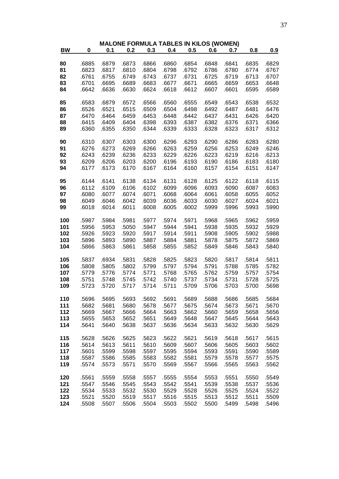|           |           |       | <b>MALONE FORMULA TABLES IN KILOS (WOMEN)</b> |       |       |       |       |       |       |       |
|-----------|-----------|-------|-----------------------------------------------|-------|-------|-------|-------|-------|-------|-------|
| <b>BW</b> | $\pmb{0}$ | 0.1   | 0.2                                           | 0.3   | 0.4   | 0.5   | 0.6   | 0.7   | 0.8   | 0.9   |
|           |           |       |                                               |       |       |       |       |       |       |       |
| 80        | .6885     | .6879 | .6873                                         | .6866 | .6860 | .6854 | .6848 | .6841 | .6835 | .6829 |
| 81        | .6823     | .6817 | .6810                                         | .6804 | .6798 | .6792 | .6786 | .6780 | .6774 | .6767 |
| 82        | .6761     | .6755 | .6749                                         | .6743 | .6737 | .6731 | .6725 | .6719 | .6713 | .6707 |
| 83        | .6701     | .6695 | .6689                                         | .6683 | .6677 | .6671 | .6665 | .6659 | .6653 | .6648 |
| 84        | .6642     | .6636 | .6630                                         | .6624 | .6618 | .6612 | .6607 | .6601 | .6595 | .6589 |
| 85        | .6583     | .6879 | .6572                                         | .6566 | .6560 | .6555 | .6549 | .6543 | .6538 | .6532 |
| 86        | .6526     | .6521 | .6515                                         | .6509 | .6504 | .6498 | .6492 | .6487 | .6481 | .6476 |
| 87        | .6470     | .6464 | .6459                                         | .6453 | .6448 | .6442 | .6437 | .6431 | .6426 | .6420 |
| 88        | .6415     | .6409 | .6404                                         | .6398 | .6393 | .6387 | .6382 | .6376 | .6371 | .6366 |
| 89        | .6360     | .6355 | .6350                                         | .6344 | .6339 | .6333 | .6328 | .6323 | .6317 | .6312 |
|           |           |       |                                               |       |       |       |       |       |       |       |
| 90        | .6310     | .6307 | .6303                                         | .6300 | .6296 | .6293 | .6290 | .6286 | .6283 | .6280 |
| 91        | .6276     | .6273 | .6269                                         | .6266 | .6263 | .6259 | .6256 | .6253 | .6249 | .6246 |
| 92        | .6243     | .6239 | .6236                                         | .6233 | .6229 | .6226 | .6223 | .6219 | .6216 | .6213 |
| 93        | .6209     | .6206 | .6203                                         | .6200 | .6196 | .6193 | .6190 | .6186 | .6183 | .6180 |
| 94        | .6177     | .6173 | .6170                                         | .6167 | .6164 | .6160 | .6157 | .6154 | .6151 | .6147 |
| 95        | .6144     | .6141 | .6138                                         | .6134 | .6131 | .6128 | .6125 | .6122 | .6118 | .6115 |
| 96        | .6112     | .6109 | .6106                                         | .6102 | .6099 | .6096 | .6093 | .6090 | .6087 | .6083 |
| 97        | .6080     | .6077 | .6074                                         | .6071 | .6068 | .6064 | .6061 | .6058 | .6055 | .6052 |
| 98        | .6049     | .6046 | .6042                                         | .6039 | .6036 | .6033 | .6030 | .6027 | .6024 | .6021 |
| 99        | .6018     | .6014 | .6011                                         | .6008 | .6005 | .6002 | .5999 | .5996 | .5993 | .5990 |
|           |           |       |                                               |       |       |       |       |       |       |       |
| 100       | .5987     | .5984 | .5981                                         | .5977 | .5974 | .5971 | .5968 | .5965 | .5962 | .5959 |
| 101       | .5956     | .5953 | .5050                                         | .5947 | .5944 | .5941 | .5938 | .5935 | .5932 | .5929 |
| 102       | .5926     | .5923 | .5920                                         | .5917 | .5914 | .5911 | .5908 | .5905 | .5902 | .5988 |
| 103       | .5896     | .5893 | .5890                                         | .5887 | .5884 | .5881 | .5878 | .5875 | .5872 | .5869 |
| 104       | .5866     | .5863 | .5861                                         | .5858 | .5855 | .5852 | .5849 | .5846 | .5843 | .5840 |
| 105       | .5837     | .6934 | .5831                                         | .5828 | .5825 | .5823 | .5820 | .5817 | .5814 | .5811 |
| 106       | .5808     | .5805 | .5802                                         | .5799 | .5797 | .5794 | .5791 | .5788 | .5785 | .5782 |
| 107       | .5779     | .5776 | .5774                                         | .5771 | .5768 | .5765 | .5762 | .5759 | .5757 | .5754 |
| 108       | .5751     | .5748 | .5745                                         | .5742 | .5740 | .5737 | .5734 | .5731 | .5728 | .5725 |
| 109       | .5723     | .5720 | .5717                                         | .5714 | .5711 | .5709 | .5706 | .5703 | .5700 | .5698 |
|           |           |       |                                               |       |       |       |       |       |       |       |
| 110       | .5696     | .5695 | .5693                                         | .5692 | .5691 | .5689 | .5688 | .5686 | .5685 | .5684 |
| 111       | .5682     | .5681 | .5680                                         | .5678 | .5677 | .5675 | .5674 | .5673 | .5671 | .5670 |
| 112       | .5669     | .5667 | .5666                                         | .5664 | .5663 | .5662 | .5660 | .5659 | .5658 | .5656 |
| 113       | .5655     | .5653 | .5652                                         | .5651 | .5649 | .5648 | .5647 | .5645 | .5644 | .5643 |
| 114       | .5641     | .5640 | .5638                                         | .5637 | .5636 | .5634 | .5633 | .5632 | .5630 | .5629 |
| 115       | .5628     | .5626 | .5625                                         | .5623 | .5622 | .5621 | .5619 | .5618 | .5617 | .5615 |
| 116       | .5614     | .5613 | .5611                                         | .5610 | .5609 | .5607 | .5606 | .5605 | .5603 | .5602 |
| 117       | .5601     | .5599 | .5598                                         | .5597 | .5595 | .5594 | .5593 | .5591 | .5590 | .5589 |
| 118       | .5587     | .5586 | .5585                                         | .5583 | .5582 | .5581 | .5579 | .5578 | .5577 | .5575 |
| 119       | .5574     | .5573 | .5571                                         | .5570 | .5569 | .5567 | .5566 | .5565 | .5563 | .5562 |
|           |           |       |                                               |       |       |       |       |       |       |       |
| 120       | .5561     | .5559 | .5558                                         | .5557 | .5555 | .5554 | .5553 | .5551 | .5550 | .5549 |
| 121       | .5547     | .5546 | .5545                                         | .5543 | .5542 | .5541 | .5539 | .5538 | .5537 | .5536 |
| 122       | .5534     | .5533 | .5532                                         | .5530 | .5529 | .5528 | .5526 | .5525 | .5524 | .5522 |
| 123       | .5521     | .5520 | .5519                                         | .5517 | .5516 | .5515 | .5513 | .5512 | .5511 | .5509 |
| 124       | .5508     | .5507 | .5506                                         | .5504 | .5503 | .5502 | .5500 | .5499 | .5498 | .5496 |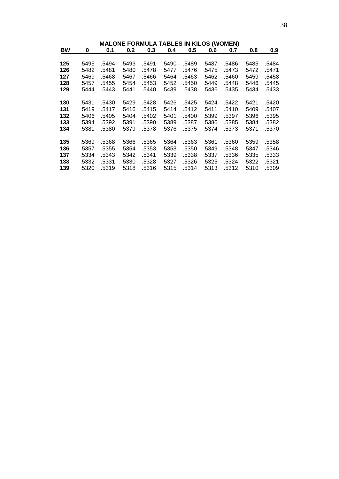|           |       |       |       |       |       | <b>MALONE FORMULA TABLES IN KILOS (WOMEN)</b> |       |       |       |            |
|-----------|-------|-------|-------|-------|-------|-----------------------------------------------|-------|-------|-------|------------|
| <u>BW</u> | 0     | 0.1   | 0.2   | 0.3   | 0.4   | 0.5                                           | 0.6   | 0.7   | 0.8   | <u>0.9</u> |
|           |       |       |       |       |       |                                               |       |       |       |            |
| 125       | .5495 | .5494 | .5493 | .5491 | .5490 | .5489                                         | .5487 | .5486 | .5485 | .5484      |
| 126       | .5482 | .5481 | .5480 | .5478 | .5477 | .5476                                         | .5475 | .5473 | .5472 | .5471      |
| 127       | .5469 | .5468 | .5467 | .5466 | .5464 | .5463                                         | .5462 | .5460 | .5459 | .5458      |
| 128       | .5457 | .5455 | .5454 | .5453 | .5452 | .5450                                         | .5449 | .5448 | .5446 | .5445      |
| 129       | .5444 | .5443 | .5441 | .5440 | .5439 | .5438                                         | .5436 | .5435 | .5434 | .5433      |
|           |       |       |       |       |       |                                               |       |       |       |            |
| 130       | .5431 | .5430 | .5429 | .5428 | .5426 | .5425                                         | .5424 | .5422 | .5421 | .5420      |
| 131       | .5419 | .5417 | .5416 | .5415 | .5414 | .5412                                         | .5411 | .5410 | .5409 | .5407      |
| 132       | .5406 | .5405 | .5404 | .5402 | .5401 | .5400                                         | .5399 | .5397 | .5396 | .5395      |
| 133       | .5394 | .5392 | .5391 | .5390 | .5389 | .5387                                         | .5386 | .5385 | .5384 | .5382      |
| 134       | .5381 | .5380 | .5379 | .5378 | .5376 | .5375                                         | .5374 | .5373 | .5371 | .5370      |
|           |       |       |       |       |       |                                               |       |       |       |            |
| 135       | .5369 | .5368 | .5366 | .5365 | .5364 | .5363                                         | .5361 | .5360 | .5359 | .5358      |
| 136       | .5357 | .5355 | .5354 | .5353 | .5353 | .5350                                         | .5349 | .5348 | .5347 | .5346      |
| 137       | .5334 | .5343 | .5342 | .5341 | .5339 | .5338                                         | .5337 | .5336 | .5335 | .5333      |
| 138       | .5332 | .5331 | .5330 | .5328 | .5327 | .5326                                         | .5325 | .5324 | .5322 | .5321      |
| 139       | .5320 | .5319 | .5318 | .5316 | .5315 | .5314                                         | .5313 | .5312 | .5310 | .5309      |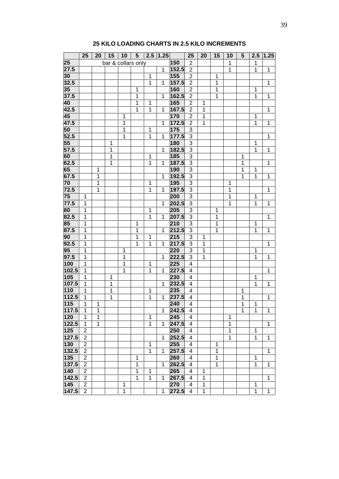| bar & collars only<br>150<br>$\overline{2}$<br>$\mathbf{1}$<br>1<br>152.5<br>$\overline{2}$<br>$\mathbf{1}$<br>1<br>1<br>$\mathbf{1}$<br>$\mathbf{1}$<br>155<br>$\overline{2}$<br>1<br>$\mathbf{1}$<br>157.5<br>$\mathbf{1}$<br>1<br>$\overline{2}$<br>1<br>160<br>$\overline{2}$<br>1<br>1<br>1<br>162.5<br>1<br>1<br>$\overline{2}$<br>1<br>$\mathbf{1}$<br>1<br>165<br>$\overline{2}$<br>1<br>$\mathbf 1$<br>1<br>1<br>$\mathbf{1}$<br>167.5<br>$\mathbf 1$<br>$\overline{2}$<br>1<br>1<br>170<br>$\overline{2}$<br>1<br>1<br>1<br>172.5<br>47.5<br>$\overline{2}$<br>$\mathbf 1$<br>1<br>1<br>1<br>1<br>175<br>1<br>1<br>3<br>3<br>1<br>177.5<br>52.5<br>1<br>1<br>1<br>3<br>$55\overline{}$<br>180<br>1<br>1<br>182.5<br>57.5<br>$\sqrt{3}$<br>1<br>1<br>1<br>1<br>185<br>$\mathfrak{S}$<br>60<br>1<br>$\mathbf 1$<br>1<br>$\mathbf{1}$<br>187.5<br>62.5<br>1<br>$\mathbf{3}$<br>1<br>$\mathbf{1}$<br>1<br>$\mathbf 1$<br>65<br>190<br>3<br>1<br>1<br>$\overline{3}$<br>67.5<br>192.5<br>1<br>1<br>1<br>1<br>1<br>195<br>3<br>70<br>1<br>1<br>1<br>197.5<br>3<br>72.5<br>1<br>$\mathbf 1$<br>1<br>1<br>1<br>75<br>200<br>3<br>1<br>1<br>1<br>$\overline{3}$<br>77.5<br>$\mathbf 1$<br>202.5<br>1<br>$\mathbf{1}$<br>1<br>1<br>205<br>3<br>80<br>1<br>1<br>1<br>207.5<br>$\mathbf{3}$<br>82.5<br>$\mathbf{1}$<br>$\mathbf{1}$<br>1<br>1<br>1<br>85<br>210<br>3<br>$\mathbf{1}$<br>1<br>1<br>1<br>87.5<br>212.5<br>1<br>1<br>1<br>3<br>$\mathbf 1$<br>$\mathbf 1$<br>1<br>215<br>90<br>1<br>3<br>1<br>$\mathbf 1$<br>1<br>217.5<br>$\overline{3}$<br>92.5<br>1<br>$\mathbf{1}$<br>1<br>1<br>1<br>1<br>95<br>3<br>220<br>$\mathbf{1}$<br>1<br>$\mathbf 1$<br>1<br>97.5<br>1<br>$\mathbf 1$<br>222.5<br>$\mathbf{3}$<br>$\mathbf{1}$<br>1<br>1<br>1<br>100<br>$\mathbf{1}$<br>$\mathbf{1}$<br>$\mathbf{1}$<br>225<br>4<br>102.5<br>227.5<br>$\mathbf{1}$<br>1<br>1<br>1<br>$\overline{4}$<br>1<br>1<br>230<br>4<br>1<br>1<br>107.5<br>232.5<br>1<br>1<br>1<br>4<br>1<br>1<br>235<br>1<br>1<br>1<br>4<br>1<br>237.5<br>112.5<br>1<br>1<br>1<br>1<br>4<br>1<br>1<br>240<br>4<br>1<br>1<br>1<br>1<br>242.5<br>1<br>1<br>1<br>1<br>4<br>1<br>1<br>245<br>1<br>1<br>4<br>1<br>1<br>$\overline{1}$<br>$\mathbf{1}$<br>247.5<br>$\overline{4}$<br>1<br>1<br>1<br>1<br>$\overline{2}$<br>250<br>1<br>4<br>1<br>$\overline{2}$<br>1<br>1<br>252.5<br>4<br>1<br>1<br>$\overline{2}$<br>255<br>1<br>4<br>1<br>$\overline{2}$<br>1<br>257.5<br>4<br>1<br>1<br>1<br>$\overline{2}$<br>260<br>$\overline{4}$<br>$\mathbf 1$<br>1<br>1<br>$\overline{2}$<br>1<br>262.5<br>$\overline{4}$<br>1<br>1<br>1<br>1<br>$\overline{2}$<br>1<br>265<br>$\overline{4}$<br>$\mathbf 1$<br>1<br>$\overline{1}$<br>$\overline{2}$<br>1<br>1<br>267.5<br>4<br>1<br>1<br>$\overline{2}$<br>270<br>1<br>1<br>4<br>1<br>$\overline{2}$<br>$\mathbf 1$<br>1<br>1<br>272.5<br>$\overline{4}$<br>1<br>1 |       | 25 | 20 | 15 | 10 | $5\phantom{.0}$ | 2.5 | 1.25 | 25 | 20 | 15 | 10 | $5\phantom{1}$ | 2.5 | 1.25 |
|-----------------------------------------------------------------------------------------------------------------------------------------------------------------------------------------------------------------------------------------------------------------------------------------------------------------------------------------------------------------------------------------------------------------------------------------------------------------------------------------------------------------------------------------------------------------------------------------------------------------------------------------------------------------------------------------------------------------------------------------------------------------------------------------------------------------------------------------------------------------------------------------------------------------------------------------------------------------------------------------------------------------------------------------------------------------------------------------------------------------------------------------------------------------------------------------------------------------------------------------------------------------------------------------------------------------------------------------------------------------------------------------------------------------------------------------------------------------------------------------------------------------------------------------------------------------------------------------------------------------------------------------------------------------------------------------------------------------------------------------------------------------------------------------------------------------------------------------------------------------------------------------------------------------------------------------------------------------------------------------------------------------------------------------------------------------------------------------------------------------------------------------------------------------------------------------------------------------------------------------------------------------------------------------------------------------------------------------------------------------------------------------------------------------------------------------------------------------------------------------------------------------------------------------------------------------------------------------------------------------------------------------------------------------------------------------------------------------------------------------------------------------------------------------------------------------------------------------------------------------------|-------|----|----|----|----|-----------------|-----|------|----|----|----|----|----------------|-----|------|
|                                                                                                                                                                                                                                                                                                                                                                                                                                                                                                                                                                                                                                                                                                                                                                                                                                                                                                                                                                                                                                                                                                                                                                                                                                                                                                                                                                                                                                                                                                                                                                                                                                                                                                                                                                                                                                                                                                                                                                                                                                                                                                                                                                                                                                                                                                                                                                                                                                                                                                                                                                                                                                                                                                                                                                                                                                                                       | 25    |    |    |    |    |                 |     |      |    |    |    |    |                |     |      |
|                                                                                                                                                                                                                                                                                                                                                                                                                                                                                                                                                                                                                                                                                                                                                                                                                                                                                                                                                                                                                                                                                                                                                                                                                                                                                                                                                                                                                                                                                                                                                                                                                                                                                                                                                                                                                                                                                                                                                                                                                                                                                                                                                                                                                                                                                                                                                                                                                                                                                                                                                                                                                                                                                                                                                                                                                                                                       | 27.5  |    |    |    |    |                 |     |      |    |    |    |    |                |     |      |
|                                                                                                                                                                                                                                                                                                                                                                                                                                                                                                                                                                                                                                                                                                                                                                                                                                                                                                                                                                                                                                                                                                                                                                                                                                                                                                                                                                                                                                                                                                                                                                                                                                                                                                                                                                                                                                                                                                                                                                                                                                                                                                                                                                                                                                                                                                                                                                                                                                                                                                                                                                                                                                                                                                                                                                                                                                                                       | 30    |    |    |    |    |                 |     |      |    |    |    |    |                |     |      |
|                                                                                                                                                                                                                                                                                                                                                                                                                                                                                                                                                                                                                                                                                                                                                                                                                                                                                                                                                                                                                                                                                                                                                                                                                                                                                                                                                                                                                                                                                                                                                                                                                                                                                                                                                                                                                                                                                                                                                                                                                                                                                                                                                                                                                                                                                                                                                                                                                                                                                                                                                                                                                                                                                                                                                                                                                                                                       | 32.5  |    |    |    |    |                 |     |      |    |    |    |    |                |     |      |
|                                                                                                                                                                                                                                                                                                                                                                                                                                                                                                                                                                                                                                                                                                                                                                                                                                                                                                                                                                                                                                                                                                                                                                                                                                                                                                                                                                                                                                                                                                                                                                                                                                                                                                                                                                                                                                                                                                                                                                                                                                                                                                                                                                                                                                                                                                                                                                                                                                                                                                                                                                                                                                                                                                                                                                                                                                                                       | 35    |    |    |    |    |                 |     |      |    |    |    |    |                |     |      |
|                                                                                                                                                                                                                                                                                                                                                                                                                                                                                                                                                                                                                                                                                                                                                                                                                                                                                                                                                                                                                                                                                                                                                                                                                                                                                                                                                                                                                                                                                                                                                                                                                                                                                                                                                                                                                                                                                                                                                                                                                                                                                                                                                                                                                                                                                                                                                                                                                                                                                                                                                                                                                                                                                                                                                                                                                                                                       | 37.5  |    |    |    |    |                 |     |      |    |    |    |    |                |     |      |
|                                                                                                                                                                                                                                                                                                                                                                                                                                                                                                                                                                                                                                                                                                                                                                                                                                                                                                                                                                                                                                                                                                                                                                                                                                                                                                                                                                                                                                                                                                                                                                                                                                                                                                                                                                                                                                                                                                                                                                                                                                                                                                                                                                                                                                                                                                                                                                                                                                                                                                                                                                                                                                                                                                                                                                                                                                                                       | 40    |    |    |    |    |                 |     |      |    |    |    |    |                |     |      |
|                                                                                                                                                                                                                                                                                                                                                                                                                                                                                                                                                                                                                                                                                                                                                                                                                                                                                                                                                                                                                                                                                                                                                                                                                                                                                                                                                                                                                                                                                                                                                                                                                                                                                                                                                                                                                                                                                                                                                                                                                                                                                                                                                                                                                                                                                                                                                                                                                                                                                                                                                                                                                                                                                                                                                                                                                                                                       | 42.5  |    |    |    |    |                 |     |      |    |    |    |    |                |     |      |
|                                                                                                                                                                                                                                                                                                                                                                                                                                                                                                                                                                                                                                                                                                                                                                                                                                                                                                                                                                                                                                                                                                                                                                                                                                                                                                                                                                                                                                                                                                                                                                                                                                                                                                                                                                                                                                                                                                                                                                                                                                                                                                                                                                                                                                                                                                                                                                                                                                                                                                                                                                                                                                                                                                                                                                                                                                                                       | 45    |    |    |    |    |                 |     |      |    |    |    |    |                |     |      |
|                                                                                                                                                                                                                                                                                                                                                                                                                                                                                                                                                                                                                                                                                                                                                                                                                                                                                                                                                                                                                                                                                                                                                                                                                                                                                                                                                                                                                                                                                                                                                                                                                                                                                                                                                                                                                                                                                                                                                                                                                                                                                                                                                                                                                                                                                                                                                                                                                                                                                                                                                                                                                                                                                                                                                                                                                                                                       |       |    |    |    |    |                 |     |      |    |    |    |    |                |     |      |
|                                                                                                                                                                                                                                                                                                                                                                                                                                                                                                                                                                                                                                                                                                                                                                                                                                                                                                                                                                                                                                                                                                                                                                                                                                                                                                                                                                                                                                                                                                                                                                                                                                                                                                                                                                                                                                                                                                                                                                                                                                                                                                                                                                                                                                                                                                                                                                                                                                                                                                                                                                                                                                                                                                                                                                                                                                                                       | 50    |    |    |    |    |                 |     |      |    |    |    |    |                |     |      |
|                                                                                                                                                                                                                                                                                                                                                                                                                                                                                                                                                                                                                                                                                                                                                                                                                                                                                                                                                                                                                                                                                                                                                                                                                                                                                                                                                                                                                                                                                                                                                                                                                                                                                                                                                                                                                                                                                                                                                                                                                                                                                                                                                                                                                                                                                                                                                                                                                                                                                                                                                                                                                                                                                                                                                                                                                                                                       |       |    |    |    |    |                 |     |      |    |    |    |    |                |     |      |
|                                                                                                                                                                                                                                                                                                                                                                                                                                                                                                                                                                                                                                                                                                                                                                                                                                                                                                                                                                                                                                                                                                                                                                                                                                                                                                                                                                                                                                                                                                                                                                                                                                                                                                                                                                                                                                                                                                                                                                                                                                                                                                                                                                                                                                                                                                                                                                                                                                                                                                                                                                                                                                                                                                                                                                                                                                                                       |       |    |    |    |    |                 |     |      |    |    |    |    |                |     |      |
|                                                                                                                                                                                                                                                                                                                                                                                                                                                                                                                                                                                                                                                                                                                                                                                                                                                                                                                                                                                                                                                                                                                                                                                                                                                                                                                                                                                                                                                                                                                                                                                                                                                                                                                                                                                                                                                                                                                                                                                                                                                                                                                                                                                                                                                                                                                                                                                                                                                                                                                                                                                                                                                                                                                                                                                                                                                                       |       |    |    |    |    |                 |     |      |    |    |    |    |                |     |      |
|                                                                                                                                                                                                                                                                                                                                                                                                                                                                                                                                                                                                                                                                                                                                                                                                                                                                                                                                                                                                                                                                                                                                                                                                                                                                                                                                                                                                                                                                                                                                                                                                                                                                                                                                                                                                                                                                                                                                                                                                                                                                                                                                                                                                                                                                                                                                                                                                                                                                                                                                                                                                                                                                                                                                                                                                                                                                       |       |    |    |    |    |                 |     |      |    |    |    |    |                |     |      |
|                                                                                                                                                                                                                                                                                                                                                                                                                                                                                                                                                                                                                                                                                                                                                                                                                                                                                                                                                                                                                                                                                                                                                                                                                                                                                                                                                                                                                                                                                                                                                                                                                                                                                                                                                                                                                                                                                                                                                                                                                                                                                                                                                                                                                                                                                                                                                                                                                                                                                                                                                                                                                                                                                                                                                                                                                                                                       |       |    |    |    |    |                 |     |      |    |    |    |    |                |     |      |
|                                                                                                                                                                                                                                                                                                                                                                                                                                                                                                                                                                                                                                                                                                                                                                                                                                                                                                                                                                                                                                                                                                                                                                                                                                                                                                                                                                                                                                                                                                                                                                                                                                                                                                                                                                                                                                                                                                                                                                                                                                                                                                                                                                                                                                                                                                                                                                                                                                                                                                                                                                                                                                                                                                                                                                                                                                                                       |       |    |    |    |    |                 |     |      |    |    |    |    |                |     |      |
|                                                                                                                                                                                                                                                                                                                                                                                                                                                                                                                                                                                                                                                                                                                                                                                                                                                                                                                                                                                                                                                                                                                                                                                                                                                                                                                                                                                                                                                                                                                                                                                                                                                                                                                                                                                                                                                                                                                                                                                                                                                                                                                                                                                                                                                                                                                                                                                                                                                                                                                                                                                                                                                                                                                                                                                                                                                                       |       |    |    |    |    |                 |     |      |    |    |    |    |                |     |      |
|                                                                                                                                                                                                                                                                                                                                                                                                                                                                                                                                                                                                                                                                                                                                                                                                                                                                                                                                                                                                                                                                                                                                                                                                                                                                                                                                                                                                                                                                                                                                                                                                                                                                                                                                                                                                                                                                                                                                                                                                                                                                                                                                                                                                                                                                                                                                                                                                                                                                                                                                                                                                                                                                                                                                                                                                                                                                       |       |    |    |    |    |                 |     |      |    |    |    |    |                |     |      |
|                                                                                                                                                                                                                                                                                                                                                                                                                                                                                                                                                                                                                                                                                                                                                                                                                                                                                                                                                                                                                                                                                                                                                                                                                                                                                                                                                                                                                                                                                                                                                                                                                                                                                                                                                                                                                                                                                                                                                                                                                                                                                                                                                                                                                                                                                                                                                                                                                                                                                                                                                                                                                                                                                                                                                                                                                                                                       |       |    |    |    |    |                 |     |      |    |    |    |    |                |     |      |
|                                                                                                                                                                                                                                                                                                                                                                                                                                                                                                                                                                                                                                                                                                                                                                                                                                                                                                                                                                                                                                                                                                                                                                                                                                                                                                                                                                                                                                                                                                                                                                                                                                                                                                                                                                                                                                                                                                                                                                                                                                                                                                                                                                                                                                                                                                                                                                                                                                                                                                                                                                                                                                                                                                                                                                                                                                                                       |       |    |    |    |    |                 |     |      |    |    |    |    |                |     |      |
|                                                                                                                                                                                                                                                                                                                                                                                                                                                                                                                                                                                                                                                                                                                                                                                                                                                                                                                                                                                                                                                                                                                                                                                                                                                                                                                                                                                                                                                                                                                                                                                                                                                                                                                                                                                                                                                                                                                                                                                                                                                                                                                                                                                                                                                                                                                                                                                                                                                                                                                                                                                                                                                                                                                                                                                                                                                                       |       |    |    |    |    |                 |     |      |    |    |    |    |                |     |      |
|                                                                                                                                                                                                                                                                                                                                                                                                                                                                                                                                                                                                                                                                                                                                                                                                                                                                                                                                                                                                                                                                                                                                                                                                                                                                                                                                                                                                                                                                                                                                                                                                                                                                                                                                                                                                                                                                                                                                                                                                                                                                                                                                                                                                                                                                                                                                                                                                                                                                                                                                                                                                                                                                                                                                                                                                                                                                       |       |    |    |    |    |                 |     |      |    |    |    |    |                |     |      |
|                                                                                                                                                                                                                                                                                                                                                                                                                                                                                                                                                                                                                                                                                                                                                                                                                                                                                                                                                                                                                                                                                                                                                                                                                                                                                                                                                                                                                                                                                                                                                                                                                                                                                                                                                                                                                                                                                                                                                                                                                                                                                                                                                                                                                                                                                                                                                                                                                                                                                                                                                                                                                                                                                                                                                                                                                                                                       |       |    |    |    |    |                 |     |      |    |    |    |    |                |     |      |
|                                                                                                                                                                                                                                                                                                                                                                                                                                                                                                                                                                                                                                                                                                                                                                                                                                                                                                                                                                                                                                                                                                                                                                                                                                                                                                                                                                                                                                                                                                                                                                                                                                                                                                                                                                                                                                                                                                                                                                                                                                                                                                                                                                                                                                                                                                                                                                                                                                                                                                                                                                                                                                                                                                                                                                                                                                                                       |       |    |    |    |    |                 |     |      |    |    |    |    |                |     |      |
|                                                                                                                                                                                                                                                                                                                                                                                                                                                                                                                                                                                                                                                                                                                                                                                                                                                                                                                                                                                                                                                                                                                                                                                                                                                                                                                                                                                                                                                                                                                                                                                                                                                                                                                                                                                                                                                                                                                                                                                                                                                                                                                                                                                                                                                                                                                                                                                                                                                                                                                                                                                                                                                                                                                                                                                                                                                                       |       |    |    |    |    |                 |     |      |    |    |    |    |                |     |      |
|                                                                                                                                                                                                                                                                                                                                                                                                                                                                                                                                                                                                                                                                                                                                                                                                                                                                                                                                                                                                                                                                                                                                                                                                                                                                                                                                                                                                                                                                                                                                                                                                                                                                                                                                                                                                                                                                                                                                                                                                                                                                                                                                                                                                                                                                                                                                                                                                                                                                                                                                                                                                                                                                                                                                                                                                                                                                       |       |    |    |    |    |                 |     |      |    |    |    |    |                |     |      |
|                                                                                                                                                                                                                                                                                                                                                                                                                                                                                                                                                                                                                                                                                                                                                                                                                                                                                                                                                                                                                                                                                                                                                                                                                                                                                                                                                                                                                                                                                                                                                                                                                                                                                                                                                                                                                                                                                                                                                                                                                                                                                                                                                                                                                                                                                                                                                                                                                                                                                                                                                                                                                                                                                                                                                                                                                                                                       |       |    |    |    |    |                 |     |      |    |    |    |    |                |     |      |
|                                                                                                                                                                                                                                                                                                                                                                                                                                                                                                                                                                                                                                                                                                                                                                                                                                                                                                                                                                                                                                                                                                                                                                                                                                                                                                                                                                                                                                                                                                                                                                                                                                                                                                                                                                                                                                                                                                                                                                                                                                                                                                                                                                                                                                                                                                                                                                                                                                                                                                                                                                                                                                                                                                                                                                                                                                                                       |       |    |    |    |    |                 |     |      |    |    |    |    |                |     |      |
|                                                                                                                                                                                                                                                                                                                                                                                                                                                                                                                                                                                                                                                                                                                                                                                                                                                                                                                                                                                                                                                                                                                                                                                                                                                                                                                                                                                                                                                                                                                                                                                                                                                                                                                                                                                                                                                                                                                                                                                                                                                                                                                                                                                                                                                                                                                                                                                                                                                                                                                                                                                                                                                                                                                                                                                                                                                                       |       |    |    |    |    |                 |     |      |    |    |    |    |                |     |      |
|                                                                                                                                                                                                                                                                                                                                                                                                                                                                                                                                                                                                                                                                                                                                                                                                                                                                                                                                                                                                                                                                                                                                                                                                                                                                                                                                                                                                                                                                                                                                                                                                                                                                                                                                                                                                                                                                                                                                                                                                                                                                                                                                                                                                                                                                                                                                                                                                                                                                                                                                                                                                                                                                                                                                                                                                                                                                       |       |    |    |    |    |                 |     |      |    |    |    |    |                |     |      |
|                                                                                                                                                                                                                                                                                                                                                                                                                                                                                                                                                                                                                                                                                                                                                                                                                                                                                                                                                                                                                                                                                                                                                                                                                                                                                                                                                                                                                                                                                                                                                                                                                                                                                                                                                                                                                                                                                                                                                                                                                                                                                                                                                                                                                                                                                                                                                                                                                                                                                                                                                                                                                                                                                                                                                                                                                                                                       |       |    |    |    |    |                 |     |      |    |    |    |    |                |     |      |
|                                                                                                                                                                                                                                                                                                                                                                                                                                                                                                                                                                                                                                                                                                                                                                                                                                                                                                                                                                                                                                                                                                                                                                                                                                                                                                                                                                                                                                                                                                                                                                                                                                                                                                                                                                                                                                                                                                                                                                                                                                                                                                                                                                                                                                                                                                                                                                                                                                                                                                                                                                                                                                                                                                                                                                                                                                                                       |       |    |    |    |    |                 |     |      |    |    |    |    |                |     |      |
|                                                                                                                                                                                                                                                                                                                                                                                                                                                                                                                                                                                                                                                                                                                                                                                                                                                                                                                                                                                                                                                                                                                                                                                                                                                                                                                                                                                                                                                                                                                                                                                                                                                                                                                                                                                                                                                                                                                                                                                                                                                                                                                                                                                                                                                                                                                                                                                                                                                                                                                                                                                                                                                                                                                                                                                                                                                                       | 105   |    |    |    |    |                 |     |      |    |    |    |    |                |     |      |
|                                                                                                                                                                                                                                                                                                                                                                                                                                                                                                                                                                                                                                                                                                                                                                                                                                                                                                                                                                                                                                                                                                                                                                                                                                                                                                                                                                                                                                                                                                                                                                                                                                                                                                                                                                                                                                                                                                                                                                                                                                                                                                                                                                                                                                                                                                                                                                                                                                                                                                                                                                                                                                                                                                                                                                                                                                                                       |       |    |    |    |    |                 |     |      |    |    |    |    |                |     |      |
|                                                                                                                                                                                                                                                                                                                                                                                                                                                                                                                                                                                                                                                                                                                                                                                                                                                                                                                                                                                                                                                                                                                                                                                                                                                                                                                                                                                                                                                                                                                                                                                                                                                                                                                                                                                                                                                                                                                                                                                                                                                                                                                                                                                                                                                                                                                                                                                                                                                                                                                                                                                                                                                                                                                                                                                                                                                                       | 110   |    |    |    |    |                 |     |      |    |    |    |    |                |     |      |
|                                                                                                                                                                                                                                                                                                                                                                                                                                                                                                                                                                                                                                                                                                                                                                                                                                                                                                                                                                                                                                                                                                                                                                                                                                                                                                                                                                                                                                                                                                                                                                                                                                                                                                                                                                                                                                                                                                                                                                                                                                                                                                                                                                                                                                                                                                                                                                                                                                                                                                                                                                                                                                                                                                                                                                                                                                                                       |       |    |    |    |    |                 |     |      |    |    |    |    |                |     |      |
|                                                                                                                                                                                                                                                                                                                                                                                                                                                                                                                                                                                                                                                                                                                                                                                                                                                                                                                                                                                                                                                                                                                                                                                                                                                                                                                                                                                                                                                                                                                                                                                                                                                                                                                                                                                                                                                                                                                                                                                                                                                                                                                                                                                                                                                                                                                                                                                                                                                                                                                                                                                                                                                                                                                                                                                                                                                                       | 115   |    |    |    |    |                 |     |      |    |    |    |    |                |     |      |
|                                                                                                                                                                                                                                                                                                                                                                                                                                                                                                                                                                                                                                                                                                                                                                                                                                                                                                                                                                                                                                                                                                                                                                                                                                                                                                                                                                                                                                                                                                                                                                                                                                                                                                                                                                                                                                                                                                                                                                                                                                                                                                                                                                                                                                                                                                                                                                                                                                                                                                                                                                                                                                                                                                                                                                                                                                                                       | 117.5 |    |    |    |    |                 |     |      |    |    |    |    |                |     |      |
|                                                                                                                                                                                                                                                                                                                                                                                                                                                                                                                                                                                                                                                                                                                                                                                                                                                                                                                                                                                                                                                                                                                                                                                                                                                                                                                                                                                                                                                                                                                                                                                                                                                                                                                                                                                                                                                                                                                                                                                                                                                                                                                                                                                                                                                                                                                                                                                                                                                                                                                                                                                                                                                                                                                                                                                                                                                                       | 120   |    |    |    |    |                 |     |      |    |    |    |    |                |     |      |
|                                                                                                                                                                                                                                                                                                                                                                                                                                                                                                                                                                                                                                                                                                                                                                                                                                                                                                                                                                                                                                                                                                                                                                                                                                                                                                                                                                                                                                                                                                                                                                                                                                                                                                                                                                                                                                                                                                                                                                                                                                                                                                                                                                                                                                                                                                                                                                                                                                                                                                                                                                                                                                                                                                                                                                                                                                                                       | 122.5 |    |    |    |    |                 |     |      |    |    |    |    |                |     |      |
|                                                                                                                                                                                                                                                                                                                                                                                                                                                                                                                                                                                                                                                                                                                                                                                                                                                                                                                                                                                                                                                                                                                                                                                                                                                                                                                                                                                                                                                                                                                                                                                                                                                                                                                                                                                                                                                                                                                                                                                                                                                                                                                                                                                                                                                                                                                                                                                                                                                                                                                                                                                                                                                                                                                                                                                                                                                                       | 125   |    |    |    |    |                 |     |      |    |    |    |    |                |     |      |
|                                                                                                                                                                                                                                                                                                                                                                                                                                                                                                                                                                                                                                                                                                                                                                                                                                                                                                                                                                                                                                                                                                                                                                                                                                                                                                                                                                                                                                                                                                                                                                                                                                                                                                                                                                                                                                                                                                                                                                                                                                                                                                                                                                                                                                                                                                                                                                                                                                                                                                                                                                                                                                                                                                                                                                                                                                                                       | 127.5 |    |    |    |    |                 |     |      |    |    |    |    |                |     |      |
|                                                                                                                                                                                                                                                                                                                                                                                                                                                                                                                                                                                                                                                                                                                                                                                                                                                                                                                                                                                                                                                                                                                                                                                                                                                                                                                                                                                                                                                                                                                                                                                                                                                                                                                                                                                                                                                                                                                                                                                                                                                                                                                                                                                                                                                                                                                                                                                                                                                                                                                                                                                                                                                                                                                                                                                                                                                                       | 130   |    |    |    |    |                 |     |      |    |    |    |    |                |     |      |
|                                                                                                                                                                                                                                                                                                                                                                                                                                                                                                                                                                                                                                                                                                                                                                                                                                                                                                                                                                                                                                                                                                                                                                                                                                                                                                                                                                                                                                                                                                                                                                                                                                                                                                                                                                                                                                                                                                                                                                                                                                                                                                                                                                                                                                                                                                                                                                                                                                                                                                                                                                                                                                                                                                                                                                                                                                                                       | 132.5 |    |    |    |    |                 |     |      |    |    |    |    |                |     |      |
|                                                                                                                                                                                                                                                                                                                                                                                                                                                                                                                                                                                                                                                                                                                                                                                                                                                                                                                                                                                                                                                                                                                                                                                                                                                                                                                                                                                                                                                                                                                                                                                                                                                                                                                                                                                                                                                                                                                                                                                                                                                                                                                                                                                                                                                                                                                                                                                                                                                                                                                                                                                                                                                                                                                                                                                                                                                                       | 135   |    |    |    |    |                 |     |      |    |    |    |    |                |     |      |
|                                                                                                                                                                                                                                                                                                                                                                                                                                                                                                                                                                                                                                                                                                                                                                                                                                                                                                                                                                                                                                                                                                                                                                                                                                                                                                                                                                                                                                                                                                                                                                                                                                                                                                                                                                                                                                                                                                                                                                                                                                                                                                                                                                                                                                                                                                                                                                                                                                                                                                                                                                                                                                                                                                                                                                                                                                                                       | 137.5 |    |    |    |    |                 |     |      |    |    |    |    |                |     |      |
|                                                                                                                                                                                                                                                                                                                                                                                                                                                                                                                                                                                                                                                                                                                                                                                                                                                                                                                                                                                                                                                                                                                                                                                                                                                                                                                                                                                                                                                                                                                                                                                                                                                                                                                                                                                                                                                                                                                                                                                                                                                                                                                                                                                                                                                                                                                                                                                                                                                                                                                                                                                                                                                                                                                                                                                                                                                                       | 140   |    |    |    |    |                 |     |      |    |    |    |    |                |     |      |
|                                                                                                                                                                                                                                                                                                                                                                                                                                                                                                                                                                                                                                                                                                                                                                                                                                                                                                                                                                                                                                                                                                                                                                                                                                                                                                                                                                                                                                                                                                                                                                                                                                                                                                                                                                                                                                                                                                                                                                                                                                                                                                                                                                                                                                                                                                                                                                                                                                                                                                                                                                                                                                                                                                                                                                                                                                                                       | 142.5 |    |    |    |    |                 |     |      |    |    |    |    |                |     |      |
|                                                                                                                                                                                                                                                                                                                                                                                                                                                                                                                                                                                                                                                                                                                                                                                                                                                                                                                                                                                                                                                                                                                                                                                                                                                                                                                                                                                                                                                                                                                                                                                                                                                                                                                                                                                                                                                                                                                                                                                                                                                                                                                                                                                                                                                                                                                                                                                                                                                                                                                                                                                                                                                                                                                                                                                                                                                                       | 145   |    |    |    |    |                 |     |      |    |    |    |    |                |     |      |
|                                                                                                                                                                                                                                                                                                                                                                                                                                                                                                                                                                                                                                                                                                                                                                                                                                                                                                                                                                                                                                                                                                                                                                                                                                                                                                                                                                                                                                                                                                                                                                                                                                                                                                                                                                                                                                                                                                                                                                                                                                                                                                                                                                                                                                                                                                                                                                                                                                                                                                                                                                                                                                                                                                                                                                                                                                                                       | 147.5 |    |    |    |    |                 |     |      |    |    |    |    |                |     |      |

## **25 KILO LOADING CHARTS IN 2.5 KILO INCREMENTS**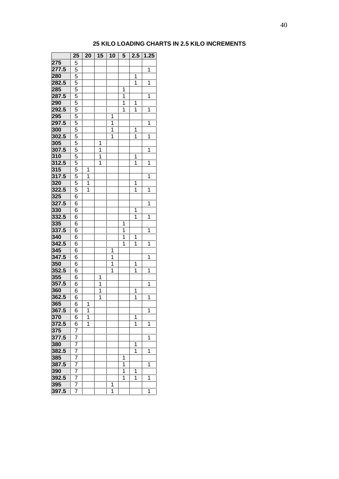## **25 KILO LOADING CHARTS IN 2.5 KILO INCREMENTS**

|       | 25             | 20 | 15           | 10 | 5              | 2.5         | 1.25 |
|-------|----------------|----|--------------|----|----------------|-------------|------|
| 275   | 5              |    |              |    |                |             |      |
| 277.5 | 5              |    |              |    |                |             | 1    |
| 280   | 5              |    |              |    |                | 1           |      |
| 282.5 | $\overline{5}$ |    |              |    |                | 1           | 1    |
| 285   | $\overline{5}$ |    |              |    | 1              |             |      |
| 287.5 | $\overline{5}$ |    |              |    | $\overline{1}$ |             | 1    |
| 290   | 5              |    |              |    | $\overline{1}$ | 1           |      |
| 292.5 | 5              |    |              |    | 1              | 1           | 1    |
| 295   | 5              |    |              | 1  |                |             |      |
| 297.5 | 5              |    |              | 1  |                |             | 1    |
| 300   | 5              |    |              | 1  |                | 1           |      |
| 302.5 | 5              |    |              | 1  |                | 1           | 1    |
| 305   | 5              |    | 1            |    |                |             |      |
| 307.5 | 5              |    | $\mathbf 1$  |    |                |             | 1    |
| 310   | 5              |    | $\mathbf{1}$ |    |                | 1           |      |
| 312.5 | 5              |    | 1            |    |                | $\mathbf 1$ | 1    |
| 315   | 5              | 1  |              |    |                |             |      |
| 317.5 | 5              | 1  |              |    |                |             | 1    |
| 320   | 5              | 1  |              |    |                | 1           |      |
| 322.5 | 5              | 1  |              |    |                | 1           | 1    |
| 325   | 6              |    |              |    |                |             |      |
| 327.5 | 6              |    |              |    |                |             | 1    |
| 330   | 6              |    |              |    |                | 1           |      |
| 332.5 | 6              |    |              |    |                | 1           | 1    |
| 335   | 6              |    |              |    | 1              |             |      |
| 337.5 | 6              |    |              |    | $\mathbf 1$    |             | 1    |
| 340   | 6              |    |              |    | $\mathbf 1$    | 1           |      |
| 342.5 | 6              |    |              |    | $\overline{1}$ | 1           | 1    |
| 345   | 6              |    |              | 1  |                |             |      |
| 347.5 | 6              |    |              | 1  |                |             | 1    |
| 350   | 6              |    |              | 1  |                | 1           |      |
| 352.5 | 6              |    |              | 1  |                | 1           | 1    |
| 355   | 6              |    | 1            |    |                |             |      |
| 357.5 | 6              |    | 1            |    |                |             | 1    |
| 360   | 6              |    | 1            |    |                | 1           |      |
| 362.5 | 6              |    | 1            |    |                | 1           | 1    |
| 365   | 6              | 1  |              |    |                |             |      |
| 367.5 | 6              | 1  |              |    |                |             | 1    |
| 370   | 6              | 1  |              |    |                | 1           |      |
| 372.5 | 6              | 1  |              |    |                | 1           | 1    |
| 375   | 7              |    |              |    |                |             |      |
| 377.5 | $\overline{7}$ |    |              |    |                |             | 1    |
| 380   | 7              |    |              |    |                | 1           |      |
| 382.5 | 7              |    |              |    |                | 1           | 1    |
| 385   | 7              |    |              |    | 1              |             |      |
| 387.5 | 7              |    |              |    | 1              |             | 1    |
| 390   | 7              |    |              |    | 1              | 1           |      |
| 392.5 | 7              |    |              |    | 1              | 1           | 1    |
| 395   | 7              |    |              | 1  |                |             |      |
| 397.5 | 7              |    |              | 1  |                |             | 1    |